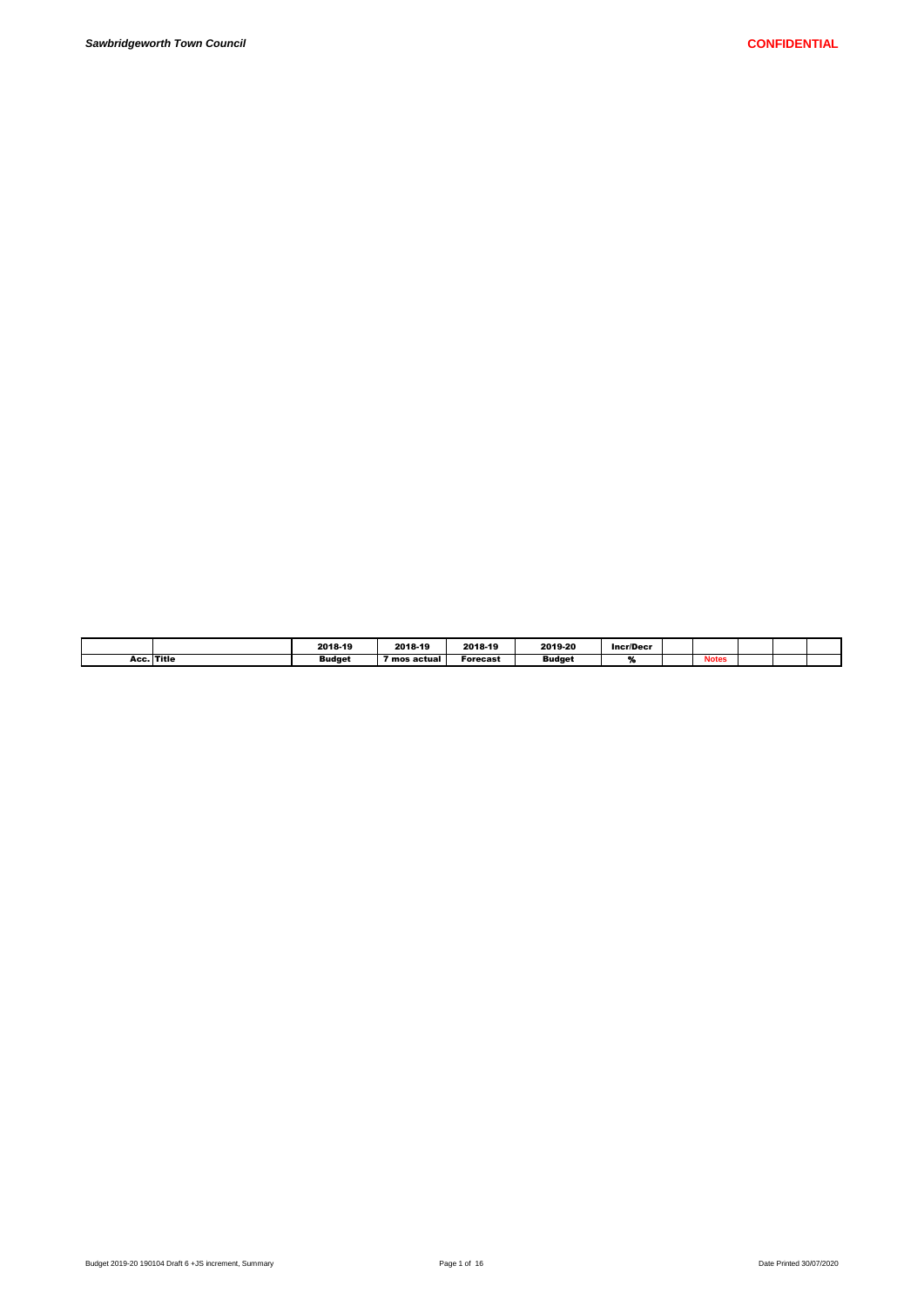|            | 2018-19       | 2018-19      | 2018-19  | 2019-20       | <b>Incr/Decr</b> |              |  |  |
|------------|---------------|--------------|----------|---------------|------------------|--------------|--|--|
| Acc. Title | <b>Budget</b> | ' mos actual | Forecast | <b>Budget</b> |                  | <b>Notes</b> |  |  |
|            |               |              |          |               |                  |              |  |  |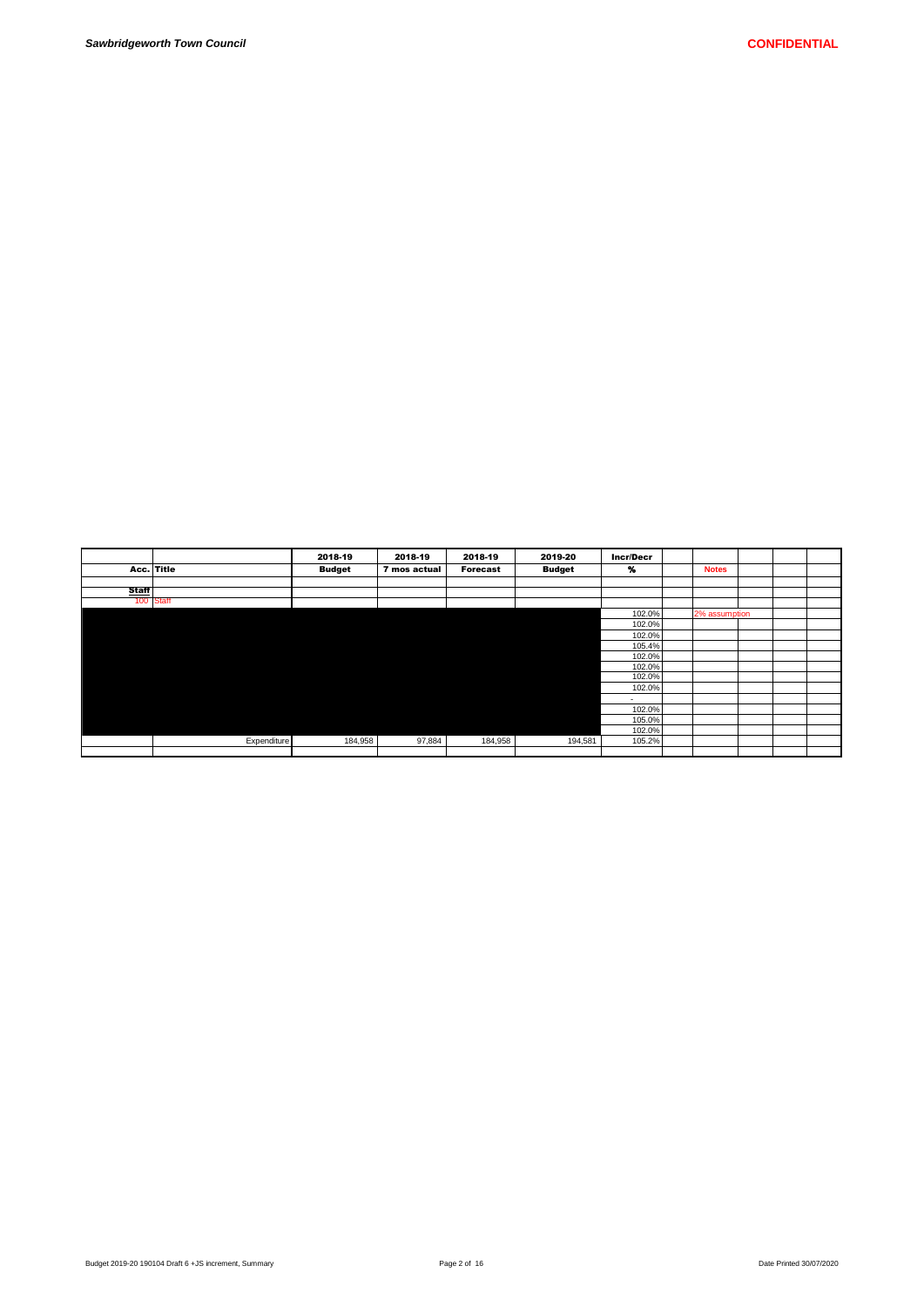|              |             | 2018-19       | 2018-19      | 2018-19         | 2019-20       | <b>Incr/Decr</b> |               |  |  |
|--------------|-------------|---------------|--------------|-----------------|---------------|------------------|---------------|--|--|
|              | Acc. Title  | <b>Budget</b> | 7 mos actual | <b>Forecast</b> | <b>Budget</b> | $\gamma$         | <b>Notes</b>  |  |  |
|              |             |               |              |                 |               |                  |               |  |  |
| <b>Staff</b> |             |               |              |                 |               |                  |               |  |  |
|              | 100 Staff   |               |              |                 |               |                  |               |  |  |
|              |             |               |              |                 |               | 102.0%           | 2% assumption |  |  |
|              |             |               |              |                 |               | 102.0%           |               |  |  |
|              |             |               |              |                 |               | 102.0%           |               |  |  |
|              |             |               |              |                 |               | 105.4%           |               |  |  |
|              |             |               |              |                 |               | 102.0%           |               |  |  |
|              |             |               |              |                 |               | 102.0%           |               |  |  |
|              |             |               |              |                 |               | 102.0%           |               |  |  |
|              |             |               |              |                 |               | 102.0%           |               |  |  |
|              |             |               |              |                 |               | ۰.               |               |  |  |
|              |             |               |              |                 |               | 102.0%           |               |  |  |
|              |             |               |              |                 |               | 105.0%           |               |  |  |
|              |             |               |              |                 |               | 102.0%           |               |  |  |
|              | Expenditure | 184,958       | 97,884       | 184,958         | 194,581       | 105.2%           |               |  |  |
|              |             |               |              |                 |               |                  |               |  |  |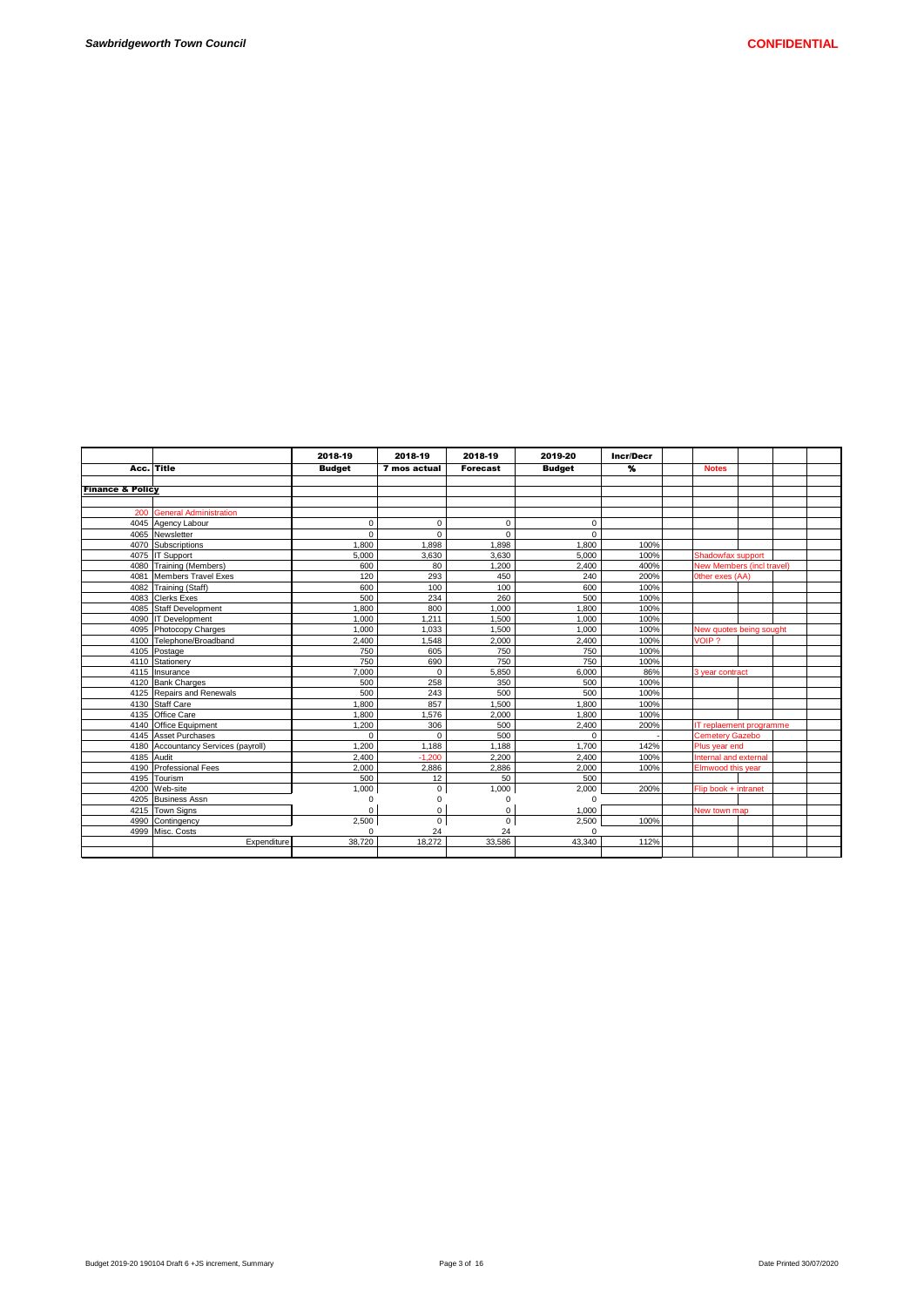|                             |                                     | 2018-19       | 2018-19        | 2018-19         | 2019-20       | <b>Incr/Decr</b> |                           |  |  |
|-----------------------------|-------------------------------------|---------------|----------------|-----------------|---------------|------------------|---------------------------|--|--|
|                             | Acc. Title                          | <b>Budget</b> | 7 mos actual   | <b>Forecast</b> | <b>Budget</b> | %                | <b>Notes</b>              |  |  |
|                             |                                     |               |                |                 |               |                  |                           |  |  |
| <b>Finance &amp; Policy</b> |                                     |               |                |                 |               |                  |                           |  |  |
|                             |                                     |               |                |                 |               |                  |                           |  |  |
|                             | 200 General Administration          |               |                |                 |               |                  |                           |  |  |
|                             | 4045 Agency Labour                  | $\mathbf 0$   | $\mathbf 0$    | $\mathbf 0$     | $\mathbf 0$   |                  |                           |  |  |
|                             | 4065 Newsletter                     | $\Omega$      | $\Omega$       | $\Omega$        | $\Omega$      |                  |                           |  |  |
|                             | 4070 Subscriptions                  | 1.800         | 1.898          | 1.898           | 1.800         | 100%             |                           |  |  |
|                             | 4075 IT Support                     | 5.000         | 3,630          | 3.630           | 5.000         | 100%             | Shadowfax support         |  |  |
|                             | 4080 Training (Members)             | 600           | 80             | 1,200           | 2,400         | 400%             | New Members (incl travel) |  |  |
|                             | 4081 Members Travel Exes            | 120           | 293            | 450             | 240           | 200%             | Other exes (AA)           |  |  |
|                             | 4082 Training (Staff)               | 600           | 100            | 100             | 600           | 100%             |                           |  |  |
|                             | 4083 Clerks Exes                    | 500           | 234            | 260             | 500           | 100%             |                           |  |  |
|                             | 4085 Staff Development              | 1.800         | 800            | 1.000           | 1.800         | 100%             |                           |  |  |
|                             | 4090 IT Development                 | 1.000         | 1.211          | 1.500           | 1.000         | 100%             |                           |  |  |
|                             | 4095 Photocopy Charges              | 1.000         | 1.033          | 1.500           | 1.000         | 100%             | New quotes being sought   |  |  |
|                             | 4100 Telephone/Broadband            | 2.400         | 1.548          | 2.000           | 2.400         | 100%             | VOIP?                     |  |  |
|                             | 4105 Postage                        | 750           | 605            | 750             | 750           | 100%             |                           |  |  |
|                             | 4110 Stationery                     | 750           | 690            | 750             | 750           | 100%             |                           |  |  |
|                             | 4115 Insurance                      | 7.000         | $\Omega$       | 5.850           | 6.000         | 86%              | 3 year contract           |  |  |
|                             | 4120 Bank Charges                   | 500           | 258            | 350             | 500           | 100%             |                           |  |  |
|                             | 4125 Repairs and Renewals           | 500           | 243            | 500             | 500           | 100%             |                           |  |  |
|                             | 4130 Staff Care                     | 1.800         | 857            | 1.500           | 1.800         | 100%             |                           |  |  |
|                             | 4135 Office Care                    | 1.800         | 1.576          | 2.000           | 1.800         | 100%             |                           |  |  |
|                             | 4140 Office Equipment               | 1.200         | 306            | 500             | 2,400         | 200%             | IT replaement programme   |  |  |
|                             | 4145 Asset Purchases                | $\Omega$      | $\Omega$       | 500             | $\Omega$      |                  | <b>Cemetery Gazebo</b>    |  |  |
|                             | 4180 Accountancy Services (payroll) | 1,200         | 1,188          | 1.188           | 1,700         | 142%             | Plus year end             |  |  |
| 4185 Audit                  |                                     | 2.400         | $-1.200$       | 2.200           | 2.400         | 100%             | Internal and external     |  |  |
|                             | 4190 Professional Fees              | 2.000         | 2,886          | 2.886           | 2.000         | 100%             | Elmwood this year         |  |  |
|                             | 4195 Tourism                        | 500           | 12             | 50              | 500           |                  |                           |  |  |
|                             | 4200 Web-site                       | 1,000         | $\mathbf 0$    | 1,000           | 2.000         | 200%             | Flip book + intranet      |  |  |
|                             | 4205 Business Assn                  | 0             | $\Omega$       | 0               | $\mathbf 0$   |                  |                           |  |  |
|                             | 4215 Town Signs                     | $\Omega$      | 0              | 0               | 1.000         |                  | New town map              |  |  |
|                             | 4990 Contingency                    | 2,500         | $\overline{0}$ | $\mathbf 0$     | 2.500         | 100%             |                           |  |  |
|                             | 4999 Misc. Costs                    | $\Omega$      | 24             | 24              | $\Omega$      |                  |                           |  |  |
|                             | Expenditure                         | 38.720        | 18,272         | 33,586          | 43,340        | 112%             |                           |  |  |
|                             |                                     |               |                |                 |               |                  |                           |  |  |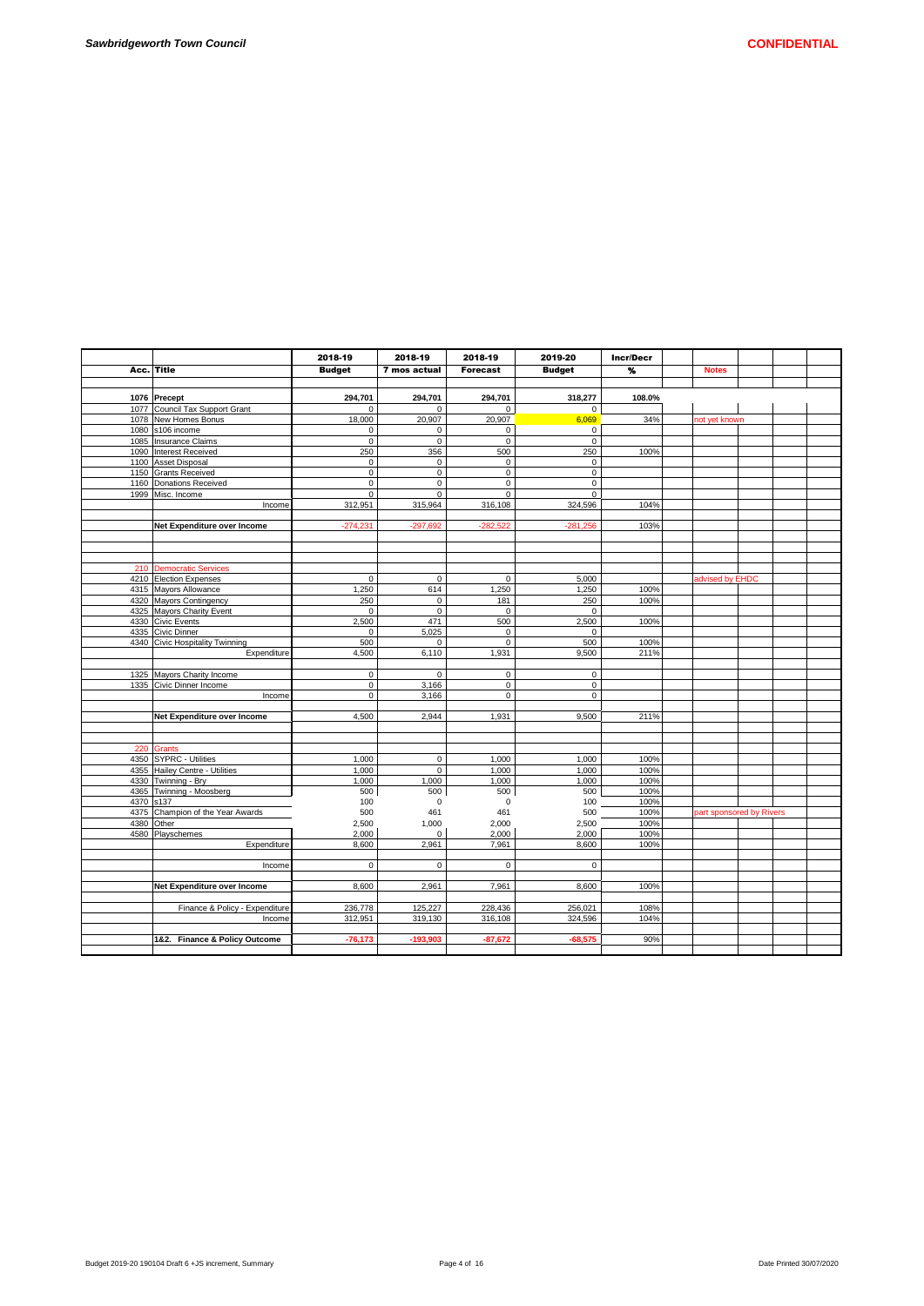|            |                                                | 2018-19            | 2018-19          | 2018-19         | 2019-20            | Incr/Decr    |               |                          |  |
|------------|------------------------------------------------|--------------------|------------------|-----------------|--------------------|--------------|---------------|--------------------------|--|
| Acc.       | <b>Title</b>                                   | <b>Budget</b>      | 7 mos actual     | <b>Forecast</b> | <b>Budget</b>      | %            | <b>Notes</b>  |                          |  |
|            |                                                |                    |                  |                 |                    |              |               |                          |  |
|            |                                                |                    |                  |                 |                    |              |               |                          |  |
|            | 1076 Precept                                   | 294,701            | 294,701          | 294,701         | 318,277            | 108.0%       |               |                          |  |
|            | 1077 Council Tax Support Grant                 | $\Omega$           | $\Omega$         | $\mathbf 0$     | $\mathbf 0$        |              |               |                          |  |
|            | 1078 New Homes Bonus                           | 18,000             | 20,907           | 20,907          | 6.069              | 34%          | not vet known |                          |  |
|            | 1080 s106 income                               | 0                  | $\mathbf 0$      | $\mathbf 0$     | $\mathbf 0$        |              |               |                          |  |
|            | 1085 Insurance Claims                          | $\mathbf 0$        | $\mathbf 0$      | $\mathbf 0$     | $\mathbf 0$        |              |               |                          |  |
|            | 1090 Interest Received                         | 250                | 356              | 500             | 250                | 100%         |               |                          |  |
|            | 1100 Asset Disposal                            | $\mathbf 0$        | $\mathbf 0$      | $\mathbf 0$     | $\mathbf 0$        |              |               |                          |  |
|            | 1150 Grants Received                           | $\mathbf 0$        | $\mathbf 0$      | $\mathbf 0$     | $\mathbf 0$        |              |               |                          |  |
|            | 1160 Donations Received                        | 0                  | $\mathsf 0$      | $\mathsf 0$     | 0                  |              |               |                          |  |
|            | 1999 Misc. Income                              | $\mathbf 0$        | $\Omega$         | $\Omega$        | $\mathbf 0$        |              |               |                          |  |
|            | Income                                         | 312,951            | 315,964          | 316,108         | 324,596            | 104%         |               |                          |  |
|            |                                                |                    |                  |                 |                    |              |               |                          |  |
|            | Net Expenditure over Income                    | $-274,231$         | $-297,692$       | $-282,522$      | $-281,256$         | 103%         |               |                          |  |
|            |                                                |                    |                  |                 |                    |              |               |                          |  |
|            |                                                |                    |                  |                 |                    |              |               |                          |  |
|            |                                                |                    |                  |                 |                    |              |               |                          |  |
|            | 210 Democratic Services                        | $\Omega$           | $\mathbf 0$      | $\mathbf 0$     |                    |              |               | advised by EHDC          |  |
|            | 4210 Election Expenses                         |                    |                  |                 | 5,000              |              |               |                          |  |
|            | 4315 Mayors Allowance                          | 1,250              | 614              | 1,250           | 1,250              | 100%<br>100% |               |                          |  |
|            | 4320 Mayors Contingency                        | 250<br>$\mathbf 0$ | 0<br>$\mathbf 0$ | 181             | 250<br>$\mathbf 0$ |              |               |                          |  |
|            | 4325 Mayors Charity Event                      |                    | 471              | 0<br>500        | 2,500              |              |               |                          |  |
|            | 4330 Civic Events                              | 2,500<br>$\Omega$  | 5,025            | $\mathbf 0$     | $\Omega$           | 100%         |               |                          |  |
|            | 4335 Civic Dinner                              | 500                |                  | $\mathbf 0$     | 500                |              |               |                          |  |
|            | 4340 Civic Hospitality Twinning<br>Expenditure |                    | 0<br>6,110       | 1,931           |                    | 100%<br>211% |               |                          |  |
|            |                                                | 4,500              |                  |                 | 9,500              |              |               |                          |  |
|            | 1325 Mayors Charity Income                     | 0                  | $\mathbf 0$      | $\pmb{0}$       | $\mathbf 0$        |              |               |                          |  |
|            | 1335 Civic Dinner Income                       | $\mathbf 0$        | 3,166            | $\overline{0}$  | $\mathbf 0$        |              |               |                          |  |
|            | Income                                         | 0                  | 3,166            | $\mathbf 0$     | 0                  |              |               |                          |  |
|            |                                                |                    |                  |                 |                    |              |               |                          |  |
|            | Net Expenditure over Income                    | 4,500              | 2,944            | 1,931           | 9,500              | 211%         |               |                          |  |
|            |                                                |                    |                  |                 |                    |              |               |                          |  |
|            |                                                |                    |                  |                 |                    |              |               |                          |  |
| 220        | Grants                                         |                    |                  |                 |                    |              |               |                          |  |
|            | 4350 SYPRC - Utilities                         | 1,000              | 0                | 1,000           | 1,000              | 100%         |               |                          |  |
|            | 4355 Hailey Centre - Utilities                 | 1,000              | $\mathsf 0$      | 1,000           | 1,000              | 100%         |               |                          |  |
|            | 4330 Twinning - Bry                            | 1,000              | 1,000            | 1,000           | 1,000              | 100%         |               |                          |  |
|            | 4365 Twinning - Moosberg                       | 500                | 500              | 500             | 500                | 100%         |               |                          |  |
| 4370 s137  |                                                | 100                | 0                | $\mathbf 0$     | 100                | 100%         |               |                          |  |
| 4375       | Champion of the Year Awards                    | 500                | 461              | 461             | 500                | 100%         |               | part sponsored by Rivers |  |
| 4380 Other |                                                | 2,500              | 1,000            | 2,000           | 2,500              | 100%         |               |                          |  |
|            | 4580 Playschemes                               | 2.000              | $\Omega$         | 2,000           | 2.000              | 100%         |               |                          |  |
|            | Expenditure                                    | 8,600              | 2,961            | 7,961           | 8,600              | 100%         |               |                          |  |
|            |                                                |                    |                  |                 |                    |              |               |                          |  |
|            | Income                                         | $\mathsf 0$        | 0                | $\mathsf 0$     | 0                  |              |               |                          |  |
|            |                                                |                    |                  |                 |                    |              |               |                          |  |
|            | Net Expenditure over Income                    | 8,600              | 2,961            | 7,961           | 8.600              | 100%         |               |                          |  |
|            |                                                |                    |                  |                 |                    |              |               |                          |  |
|            | Finance & Policy - Expenditure                 | 236,778            | 125,227          | 228,436         | 256,021            | 108%         |               |                          |  |
|            | Income                                         | 312,951            | 319,130          | 316,108         | 324,596            | 104%         |               |                          |  |
|            |                                                |                    |                  |                 |                    |              |               |                          |  |
|            | 1&2. Finance & Policy Outcome                  | $-76,173$          | -193,903         | $-87,672$       | $-68,575$          | 90%          |               |                          |  |
|            |                                                |                    |                  |                 |                    |              |               |                          |  |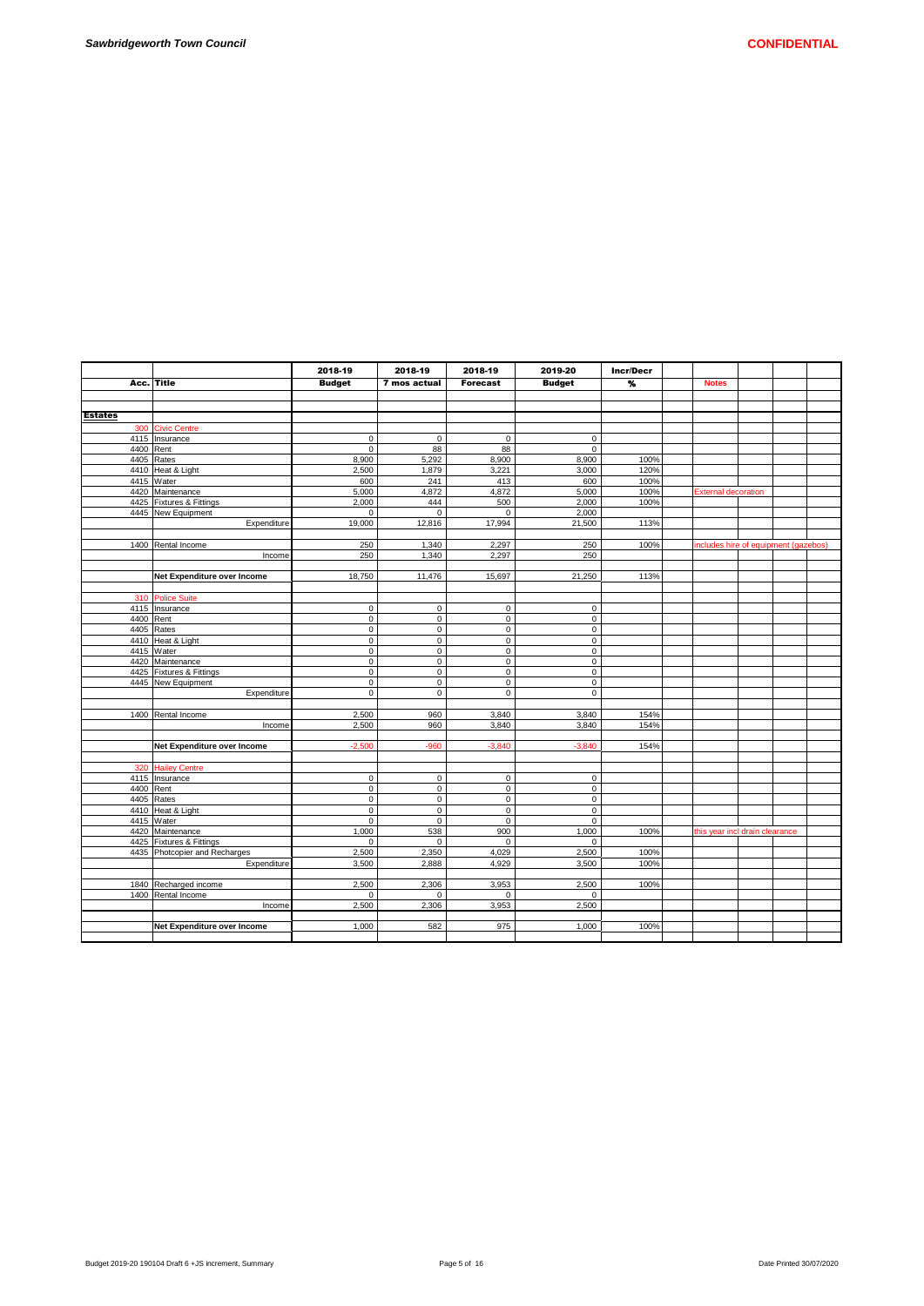|                |                                                           | 2018-19                  | 2018-19                    | 2018-19                    | 2019-20                    | <b>Incr/Decr</b>  |                                      |  |  |
|----------------|-----------------------------------------------------------|--------------------------|----------------------------|----------------------------|----------------------------|-------------------|--------------------------------------|--|--|
| Acc.           | Title                                                     | <b>Budget</b>            | 7 mos actual               | <b>Forecast</b>            | <b>Budget</b>              | $\boldsymbol{\%}$ | <b>Notes</b>                         |  |  |
|                |                                                           |                          |                            |                            |                            |                   |                                      |  |  |
|                |                                                           |                          |                            |                            |                            |                   |                                      |  |  |
| <b>Estates</b> |                                                           |                          |                            |                            |                            |                   |                                      |  |  |
| 300            | <b>Civic Centre</b>                                       |                          |                            |                            |                            |                   |                                      |  |  |
|                | 4115 Insurance                                            | $\pmb{0}$                | $\mathsf 0$                | $\mathsf{O}\xspace$        | $\mathbf 0$                |                   |                                      |  |  |
|                | 4400 Rent                                                 | $\mathbf 0$              | 88                         | 88                         | $\mathbf 0$                |                   |                                      |  |  |
|                | 4405 Rates                                                | 8,900                    | 5,292                      | 8,900                      | 8,900                      | 100%              |                                      |  |  |
|                | 4410 Heat & Light                                         | 2,500                    | 1,879                      | 3,221                      | 3,000                      | 120%              |                                      |  |  |
|                | 4415 Water                                                | 600                      | 241                        | 413                        | 600                        | 100%              |                                      |  |  |
|                | 4420 Maintenance                                          | 5.000                    | 4,872                      | 4,872                      | 5,000                      | 100%              | <b>External decoration</b>           |  |  |
|                | 4425 Fixtures & Fittings                                  | 2,000                    | 444                        | 500                        | 2,000                      | 100%              |                                      |  |  |
|                | 4445 New Equipment                                        | 0                        | $\mathbf 0$                | $\mathbf 0$                | 2,000                      |                   |                                      |  |  |
|                | Expenditure                                               | 19,000                   | 12,816                     | 17,994                     | 21,500                     | 113%              |                                      |  |  |
|                |                                                           |                          |                            |                            |                            |                   |                                      |  |  |
|                | 1400 Rental Income                                        | 250                      | 1,340                      | 2,297                      | 250                        | 100%              | includes hire of equipment (gazebos) |  |  |
|                | Income                                                    | 250                      | 1,340                      | 2,297                      | 250                        |                   |                                      |  |  |
|                |                                                           |                          |                            |                            |                            |                   |                                      |  |  |
|                | Net Expenditure over Income                               | 18,750                   | 11,476                     | 15,697                     | 21,250                     | 113%              |                                      |  |  |
|                |                                                           |                          |                            |                            |                            |                   |                                      |  |  |
| 310            | <b>Police Suite</b>                                       |                          |                            |                            |                            |                   |                                      |  |  |
|                | 4115 Insurance                                            | $\mathsf 0$              | $\mathbf 0$                | $\mathsf 0$                | $\mathbf 0$                |                   |                                      |  |  |
|                | 4400 Rent<br>4405 Rates                                   | $\pmb{0}$<br>$\mathsf 0$ | $\mathbf 0$<br>$\mathsf 0$ | $\mathsf 0$<br>$\mathsf 0$ | $\mathsf 0$<br>$\mathsf 0$ |                   |                                      |  |  |
|                | 4410 Heat & Light                                         | $\mathbf 0$              | $\mathbf 0$                | $\mathbf 0$                | $\mathbf 0$                |                   |                                      |  |  |
|                | 4415 Water                                                | $\overline{\text{o}}$    | $\mathbf 0$                | $\overline{0}$             | $\overline{0}$             |                   |                                      |  |  |
|                | 4420 Maintenance                                          | $\mathbf 0$              | $\mathbf 0$                | $\mathbf 0$                | $\mathbf 0$                |                   |                                      |  |  |
|                | 4425 Fixtures & Fittings                                  | $\pmb{0}$                | $\mathbf 0$                | $\mathsf{O}\xspace$        | $\mathbf 0$                |                   |                                      |  |  |
|                | 4445 New Equipment                                        | $\mathbf 0$              | $\mathbf 0$                | $\mathbf 0$                | $\mathbf 0$                |                   |                                      |  |  |
|                | Expenditure                                               | $\mathbf 0$              | $\mathbf 0$                | $\mathbf 0$                | $\mathbf 0$                |                   |                                      |  |  |
|                |                                                           |                          |                            |                            |                            |                   |                                      |  |  |
|                | 1400 Rental Income                                        | 2.500                    | 960                        | 3.840                      | 3.840                      | 154%              |                                      |  |  |
|                | Income                                                    | 2,500                    | 960                        | 3,840                      | 3,840                      | 154%              |                                      |  |  |
|                |                                                           |                          |                            |                            |                            |                   |                                      |  |  |
|                | Net Expenditure over Income                               | $-2,500$                 | $-960$                     | $-3,840$                   | $-3,840$                   | 154%              |                                      |  |  |
|                |                                                           |                          |                            |                            |                            |                   |                                      |  |  |
|                | 320 Hailey Centre                                         |                          |                            |                            |                            |                   |                                      |  |  |
|                | 4115 Insurance                                            | $\mathsf 0$              | $\mathbf 0$                | $\mathsf 0$                | 0                          |                   |                                      |  |  |
|                | 4400 Rent                                                 | $\mathsf 0$              | $\mathbf 0$                | $\mathbf 0$                | $\mathbf 0$                |                   |                                      |  |  |
|                | 4405 Rates                                                | $\pmb{0}$                | $\mathbf 0$                | $\mathsf{o}\,$             | $\mathsf 0$                |                   |                                      |  |  |
|                | 4410 Heat & Light                                         | $\mathsf 0$              | $\mathbf 0$                | $\mathsf{O}\xspace$        | $\mathbf 0$                |                   |                                      |  |  |
|                | 4415 Water                                                | $\mathbf 0$              | $\mathbf 0$                | $\mathbf 0$                | $\mathbf 0$                |                   |                                      |  |  |
|                | 4420 Maintenance                                          | 1,000<br>$\mathbf 0$     | 538<br>$\mathbf 0$         | 900<br>$\mathbf 0$         | 1,000                      | 100%              | this year incl drain clearance       |  |  |
|                | 4425 Fixtures & Fittings<br>4435 Photcopier and Recharges |                          |                            |                            | $\mathbf 0$                |                   |                                      |  |  |
|                | Expenditure                                               | 2,500<br>3,500           | 2,350<br>2,888             | 4,029<br>4,929             | 2,500<br>3,500             | 100%<br>100%      |                                      |  |  |
|                |                                                           |                          |                            |                            |                            |                   |                                      |  |  |
|                | 1840 Recharged income                                     | 2,500                    | 2,306                      | 3,953                      | 2,500                      | 100%              |                                      |  |  |
|                | 1400 Rental Income                                        | $\Omega$                 | $\mathbf 0$                | $\Omega$                   | $\Omega$                   |                   |                                      |  |  |
|                | Income                                                    | 2,500                    | 2,306                      | 3,953                      | 2,500                      |                   |                                      |  |  |
|                |                                                           |                          |                            |                            |                            |                   |                                      |  |  |
|                | Net Expenditure over Income                               | 1,000                    | 582                        | 975                        | 1,000                      | 100%              |                                      |  |  |
|                |                                                           |                          |                            |                            |                            |                   |                                      |  |  |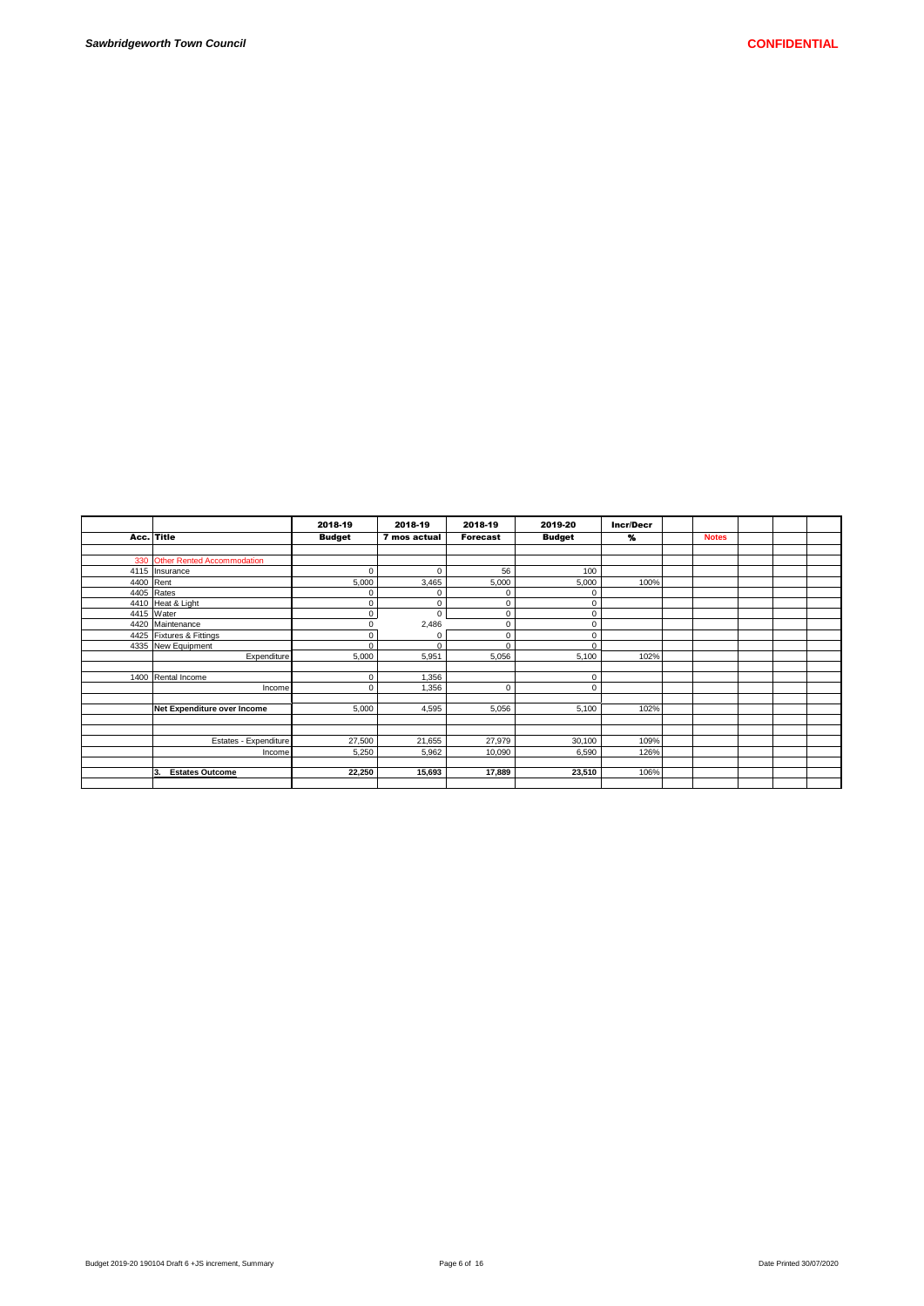|           |                                | 2018-19       | 2018-19      | 2018-19         | 2019-20       | <b>Incr/Decr</b> |              |  |  |
|-----------|--------------------------------|---------------|--------------|-----------------|---------------|------------------|--------------|--|--|
|           | Acc. Title                     | <b>Budget</b> | 7 mos actual | <b>Forecast</b> | <b>Budget</b> | %                | <b>Notes</b> |  |  |
|           |                                |               |              |                 |               |                  |              |  |  |
|           | 330 Other Rented Accommodation |               |              |                 |               |                  |              |  |  |
|           | 4115 Insurance                 | 0             | 0            | 56              | 100           |                  |              |  |  |
| 4400 Rent |                                | 5,000         | 3,465        | 5,000           | 5,000         | 100%             |              |  |  |
|           | 4405 Rates                     | $\Omega$      | $\Omega$     | $\Omega$        | $\mathbf 0$   |                  |              |  |  |
|           | 4410 Heat & Light              | 0             | $\Omega$     | $\mathbf 0$     | $\mathbf 0$   |                  |              |  |  |
|           | 4415 Water                     | 0             | $\Omega$     | $\mathbf 0$     | $\mathbf 0$   |                  |              |  |  |
|           | 4420 Maintenance               |               | 2,486        | $\mathbf 0$     | $\mathbf 0$   |                  |              |  |  |
|           | 4425 Fixtures & Fittings       | 0             | 0            | $\mathbf 0$     | $\mathbf 0$   |                  |              |  |  |
|           | 4335 New Equipment             | $\Omega$      | $\Omega$     | $\Omega$        | $\mathbf 0$   |                  |              |  |  |
|           | Expenditure                    | 5,000         | 5,951        | 5,056           | 5,100         | 102%             |              |  |  |
|           |                                |               |              |                 |               |                  |              |  |  |
|           | 1400 Rental Income             | 0             | 1,356        |                 | $\mathbf 0$   |                  |              |  |  |
|           | Income                         | 0             | 1,356        | 0               | $\mathbf 0$   |                  |              |  |  |
|           |                                |               |              |                 |               |                  |              |  |  |
|           | Net Expenditure over Income    | 5,000         | 4,595        | 5,056           | 5,100         | 102%             |              |  |  |
|           |                                |               |              |                 |               |                  |              |  |  |
|           |                                |               |              |                 |               |                  |              |  |  |
|           | Estates - Expenditure          | 27,500        | 21,655       | 27,979          | 30,100        | 109%             |              |  |  |
|           | Income                         | 5,250         | 5,962        | 10,090          | 6,590         | 126%             |              |  |  |
|           |                                |               |              |                 |               |                  |              |  |  |
|           | 3.<br><b>Estates Outcome</b>   | 22,250        | 15,693       | 17,889          | 23,510        | 106%             |              |  |  |
|           |                                |               |              |                 |               |                  |              |  |  |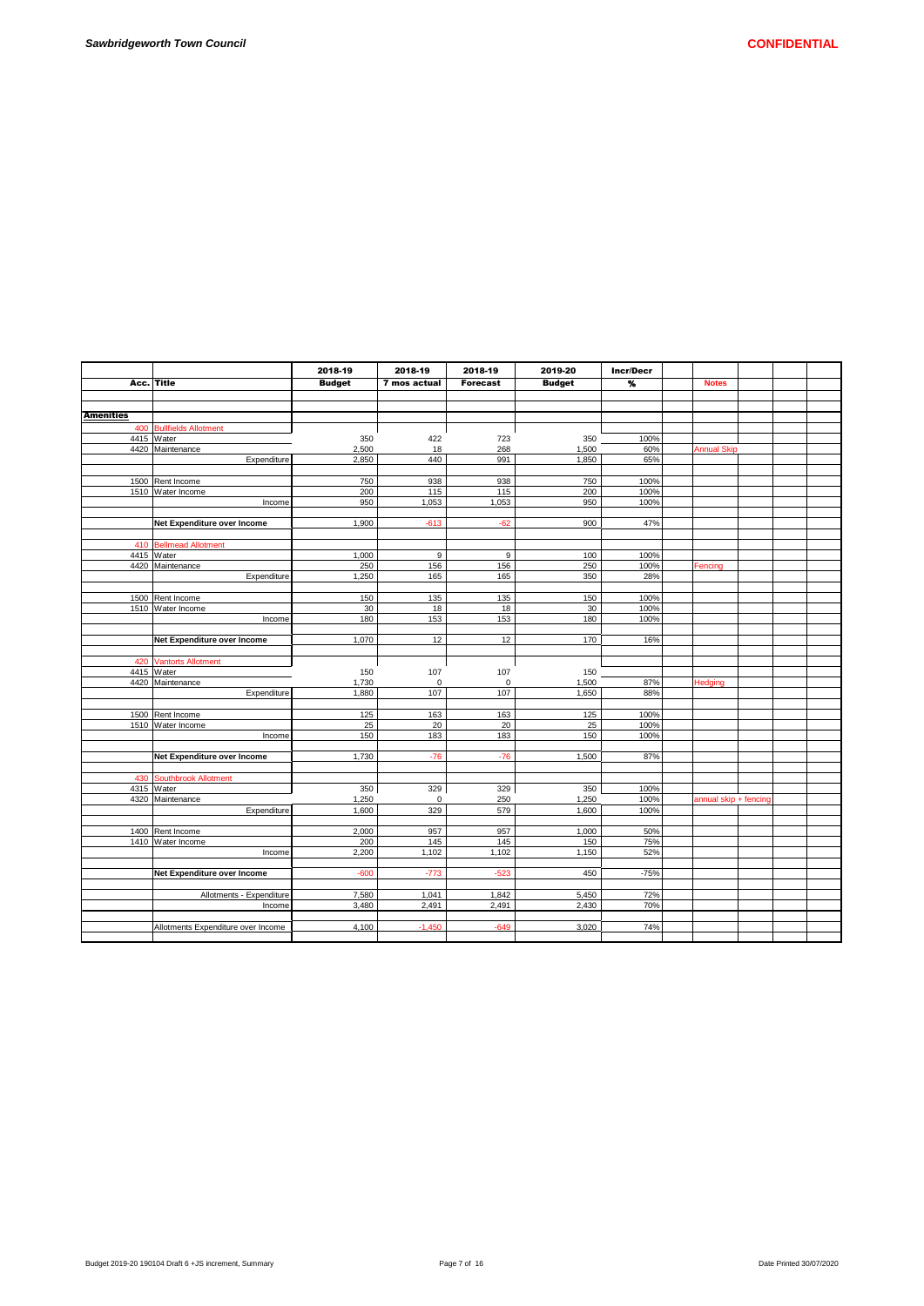|                  |                                    | 2018-19        | 2018-19      | 2018-19            | 2019-20        | <b>Incr/Decr</b> |                       |  |  |
|------------------|------------------------------------|----------------|--------------|--------------------|----------------|------------------|-----------------------|--|--|
| Acc.             | <b>Title</b>                       | <b>Budget</b>  | 7 mos actual | <b>Forecast</b>    | <b>Budget</b>  | %                | <b>Notes</b>          |  |  |
|                  |                                    |                |              |                    |                |                  |                       |  |  |
|                  |                                    |                |              |                    |                |                  |                       |  |  |
| <b>Amenities</b> |                                    |                |              |                    |                |                  |                       |  |  |
| 400              | <b>Bullfields Allotment</b>        |                |              |                    |                |                  |                       |  |  |
|                  | 4415 Water                         | 350            | 422          | 723                | 350            | 100%             |                       |  |  |
|                  | 4420 Maintenance                   | 2.500          | 18           | 268                | 1.500          | 60%              | <b>Annual Skip</b>    |  |  |
|                  | Expenditure                        | 2,850          | 440          | 991                | 1,850          | 65%              |                       |  |  |
|                  |                                    |                |              |                    |                |                  |                       |  |  |
|                  | 1500 Rent Income                   | 750            | 938          | 938                | 750            | 100%             |                       |  |  |
|                  | 1510 Water Income                  | 200            | 115          | 115                | 200            | 100%             |                       |  |  |
|                  | Income                             | 950            | 1,053        | 1,053              | 950            | 100%             |                       |  |  |
|                  |                                    |                |              |                    |                |                  |                       |  |  |
|                  | Net Expenditure over Income        | 1,900          | $-613$       | $-62$              | 900            | 47%              |                       |  |  |
|                  |                                    |                |              |                    |                |                  |                       |  |  |
| 410              | <b>Bellmead Allotment</b>          |                |              |                    |                |                  |                       |  |  |
|                  | 4415 Water                         | 1,000          | 9            | 9                  | 100            | 100%             |                       |  |  |
| 4420             | Maintenance                        | 250            | 156          | 156                | 250            | 100%             | Fencing               |  |  |
|                  | Expenditure                        | 1,250          | 165          | 165                | 350            | 28%              |                       |  |  |
|                  |                                    |                |              |                    |                |                  |                       |  |  |
|                  | 1500 Rent Income                   | 150            | 135          | 135                | 150            | 100%             |                       |  |  |
|                  | 1510 Water Income                  | 30             | 18           | 18                 | 30             | 100%             |                       |  |  |
|                  | Income                             | 180            | 153          | 153                | 180            | 100%             |                       |  |  |
|                  |                                    |                |              |                    | 170            |                  |                       |  |  |
|                  | Net Expenditure over Income        | 1,070          | 12           | 12                 |                | 16%              |                       |  |  |
|                  |                                    |                |              |                    |                |                  |                       |  |  |
| 420              | <b>Vantorts Allotment</b>          |                |              |                    |                |                  |                       |  |  |
|                  | 4415 Water                         | 150            | 107          | 107                | 150            |                  |                       |  |  |
|                  | 4420 Maintenance<br>Expenditure    | 1,730<br>1,880 | 0<br>107     | $\mathbf 0$<br>107 | 1,500<br>1,650 | 87%<br>88%       | Hedging               |  |  |
|                  |                                    |                |              |                    |                |                  |                       |  |  |
|                  | 1500 Rent Income                   | 125            | 163          | 163                | 125            | 100%             |                       |  |  |
|                  | 1510 Water Income                  | 25             | 20           | 20                 | 25             | 100%             |                       |  |  |
|                  | Income                             | 150            | 183          | 183                | 150            | 100%             |                       |  |  |
|                  |                                    |                |              |                    |                |                  |                       |  |  |
|                  | Net Expenditure over Income        | 1,730          | $-76$        | $-76$              | 1,500          | 87%              |                       |  |  |
|                  |                                    |                |              |                    |                |                  |                       |  |  |
| 430              | <b>Southbrook Allotment</b>        |                |              |                    |                |                  |                       |  |  |
|                  | 4315 Water                         | 350            | 329          | 329                | 350            | 100%             |                       |  |  |
|                  | 4320 Maintenance                   | 1,250          | $\mathbf 0$  | 250                | 1,250          | 100%             | annual skip + fencing |  |  |
|                  | Expenditure                        | 1.600          | 329          | 579                | 1,600          | 100%             |                       |  |  |
|                  |                                    |                |              |                    |                |                  |                       |  |  |
| 1400             | Rent Income                        | 2,000          | 957          | 957                | 1,000          | 50%              |                       |  |  |
| 1410             | Water Income                       | 200            | 145          | 145                | 150            | 75%              |                       |  |  |
|                  | Income                             | 2,200          | 1,102        | 1,102              | 1,150          | 52%              |                       |  |  |
|                  |                                    |                |              |                    |                |                  |                       |  |  |
|                  | Net Expenditure over Income        | $-600$         | $-773$       | $-523$             | 450            | $-75%$           |                       |  |  |
|                  |                                    |                |              |                    |                |                  |                       |  |  |
|                  | Allotments - Expenditure           | 7,580          | 1,041        | 1,842              | 5,450          | 72%              |                       |  |  |
|                  | Income                             | 3,480          | 2,491        | 2,491              | 2,430          | 70%              |                       |  |  |
|                  |                                    |                |              |                    |                |                  |                       |  |  |
|                  | Allotments Expenditure over Income | 4,100          | $-1.450$     | $-649$             | 3.020          | 74%              |                       |  |  |
|                  |                                    |                |              |                    |                |                  |                       |  |  |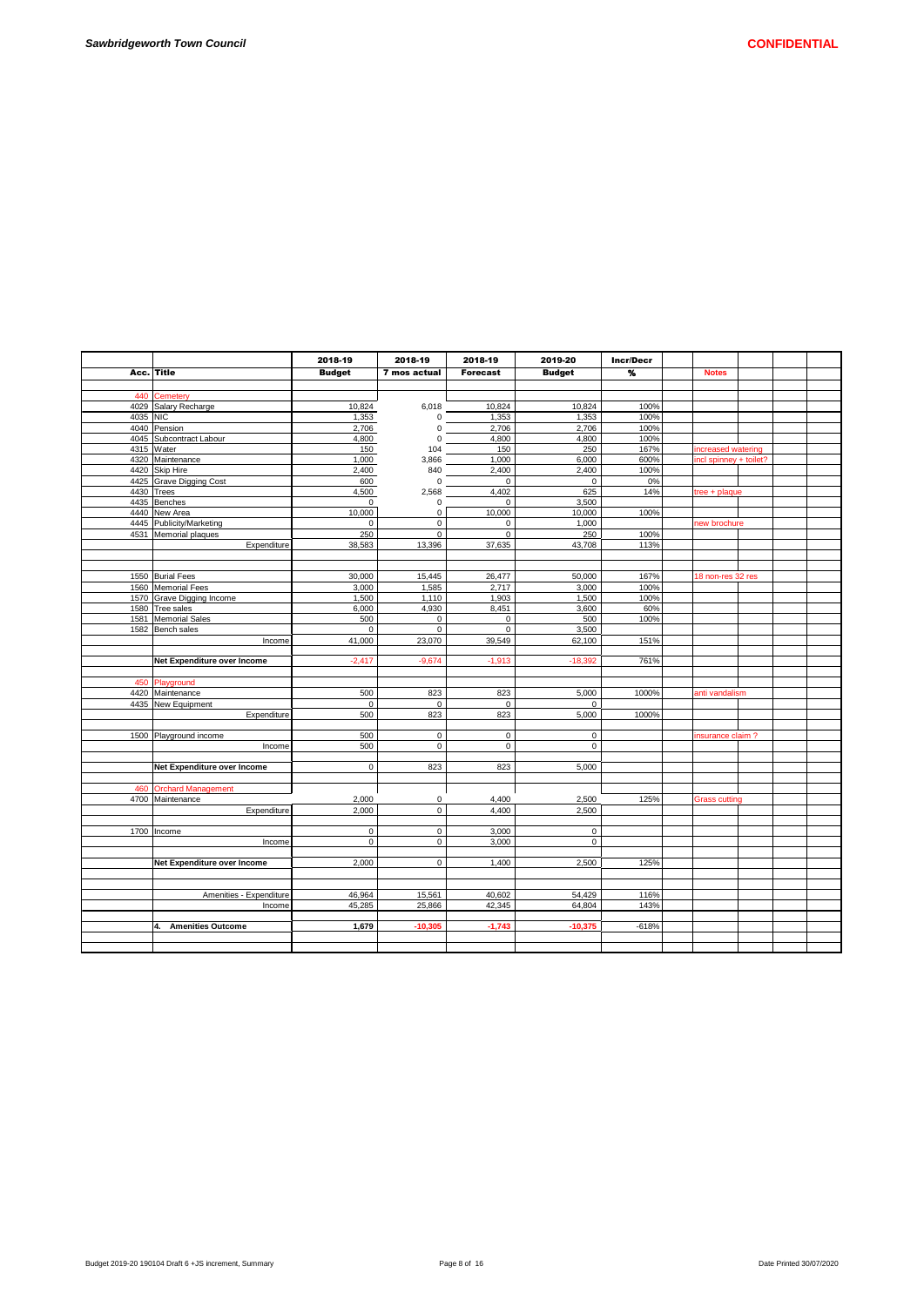|            |                                | 2018-19       | 2018-19      | 2018-19         | 2019-20       | <b>Incr/Decr</b> |              |                      |                        |  |
|------------|--------------------------------|---------------|--------------|-----------------|---------------|------------------|--------------|----------------------|------------------------|--|
| Acc. Title |                                | <b>Budget</b> | 7 mos actual | <b>Forecast</b> | <b>Budget</b> | ጜ                | <b>Notes</b> |                      |                        |  |
|            |                                |               |              |                 |               |                  |              |                      |                        |  |
|            | 440 Cemetery                   |               |              |                 |               |                  |              |                      |                        |  |
|            | 4029 Salary Recharge           | 10,824        | 6,018        | 10,824          | 10,824        | 100%             |              |                      |                        |  |
| 4035 NIC   |                                | 1,353         | 0            | 1,353           | 1,353         | 100%             |              |                      |                        |  |
|            | 4040 Pension                   | 2,706         | 0            | 2,706           | 2,706         | 100%             |              |                      |                        |  |
|            | 4045 Subcontract Labour        | 4,800         | $\Omega$     | 4,800           | 4,800         | 100%             |              |                      |                        |  |
|            | 4315 Water                     | 150           | 104          | 150             | 250           | 167%             |              | increased watering   |                        |  |
|            | 4320 Maintenance               | 1,000         | 3,866        | 1,000           | 6,000         | 600%             |              |                      | incl spinney + toilet? |  |
|            | 4420 Skip Hire                 | 2,400         | 840          | 2,400           | 2,400         | 100%             |              |                      |                        |  |
|            | 4425 Grave Digging Cost        | 600           | 0            | $\mathbf 0$     | $\mathbf 0$   | 0%               |              |                      |                        |  |
| 4430 Trees |                                | 4,500         | 2,568        | 4,402           | 625           | 14%              |              | tree + plaque        |                        |  |
|            | 4435 Benches                   | $\mathsf 0$   | 0            | 0               | 3,500         |                  |              |                      |                        |  |
|            | 4440 New Area                  | 10.000        | 0            | 10,000          | 10,000        | 100%             |              |                      |                        |  |
|            | 4445 Publicity/Marketing       | 0             | 0            | $\mathbf 0$     | 1,000         |                  |              | new brochure         |                        |  |
|            |                                | 250           | $\mathbf 0$  | $\Omega$        | 250           |                  |              |                      |                        |  |
|            | 4531 Memorial plaques          |               |              |                 |               | 100%             |              |                      |                        |  |
|            | Expenditure                    | 38,583        | 13,396       | 37,635          | 43,708        | 113%             |              |                      |                        |  |
|            |                                |               |              |                 |               |                  |              |                      |                        |  |
|            |                                |               |              |                 |               |                  |              |                      |                        |  |
|            | 1550 Burial Fees               | 30,000        | 15,445       | 26,477          | 50,000        | 167%             |              | 18 non-res 32 res    |                        |  |
|            | 1560 Memorial Fees             | 3,000         | 1,585        | 2,717           | 3,000         | 100%             |              |                      |                        |  |
|            | 1570 Grave Digging Income      | 1,500         | 1,110        | 1,903           | 1,500         | 100%             |              |                      |                        |  |
|            | 1580 Tree sales                | 6,000         | 4,930        | 8,451           | 3,600         | 60%              |              |                      |                        |  |
|            | 1581 Memorial Sales            | 500           | $\mathsf 0$  | $\mathbf 0$     | 500           | 100%             |              |                      |                        |  |
|            | 1582 Bench sales               | $\mathbf 0$   | $\mathbf 0$  | $\mathbf 0$     | 3.500         |                  |              |                      |                        |  |
|            | Income                         | 41,000        | 23,070       | 39,549          | 62,100        | 151%             |              |                      |                        |  |
|            |                                |               |              |                 |               |                  |              |                      |                        |  |
|            | Net Expenditure over Income    | $-2,417$      | $-9,674$     | $-1,913$        | $-18,392$     | 761%             |              |                      |                        |  |
|            |                                |               |              |                 |               |                  |              |                      |                        |  |
|            | 450 Playground                 |               |              |                 |               |                  |              |                      |                        |  |
|            | 4420 Maintenance               | 500           | 823          | 823             | 5,000         | 1000%            |              | anti vandalism       |                        |  |
|            | 4435 New Equipment             | $\mathbf 0$   | $\mathbf 0$  | $\Omega$        | $\Omega$      |                  |              |                      |                        |  |
|            | Expenditure                    | 500           | 823          | 823             | 5,000         | 1000%            |              |                      |                        |  |
|            |                                |               |              |                 |               |                  |              |                      |                        |  |
|            | 1500 Playground income         | 500           | $\mathsf 0$  | $\mathbf 0$     | $\mathbf 0$   |                  |              | insurance claim?     |                        |  |
|            | Income                         | 500           | $\mathbf 0$  | $\mathbf 0$     | $\mathbf 0$   |                  |              |                      |                        |  |
|            |                                |               |              |                 |               |                  |              |                      |                        |  |
|            | Net Expenditure over Income    | 0             | 823          | 823             | 5,000         |                  |              |                      |                        |  |
|            |                                |               |              |                 |               |                  |              |                      |                        |  |
|            | 460 Orchard Management         |               |              |                 |               |                  |              |                      |                        |  |
|            | 4700 Maintenance               | 2.000         | $\Omega$     | 4.400           | 2.500         | 125%             |              | <b>Grass cutting</b> |                        |  |
|            | Expenditure                    | 2.000         | $\mathbf 0$  | 4,400           | 2,500         |                  |              |                      |                        |  |
|            |                                |               |              |                 |               |                  |              |                      |                        |  |
|            | 1700 Income                    | $\mathbf 0$   | $\mathbf{0}$ | 3,000           | $\mathbf 0$   |                  |              |                      |                        |  |
|            | Income                         | $\mathbf 0$   | $\mathbf 0$  | 3,000           | $\mathbf 0$   |                  |              |                      |                        |  |
|            |                                |               |              |                 |               |                  |              |                      |                        |  |
|            | Net Expenditure over Income    | 2,000         | $\mathbf 0$  | 1,400           | 2,500         | 125%             |              |                      |                        |  |
|            |                                |               |              |                 |               |                  |              |                      |                        |  |
|            |                                |               |              |                 |               |                  |              |                      |                        |  |
|            | Amenities - Expenditure        | 46,964        | 15,561       | 40,602          | 54,429        | 116%             |              |                      |                        |  |
|            | Income                         | 45,285        | 25,866       | 42,345          | 64,804        | 143%             |              |                      |                        |  |
|            |                                |               |              |                 |               |                  |              |                      |                        |  |
|            | <b>Amenities Outcome</b><br>4. | 1,679         | $-10,305$    | $-1,743$        | $-10,375$     | $-618%$          |              |                      |                        |  |
|            |                                |               |              |                 |               |                  |              |                      |                        |  |
|            |                                |               |              |                 |               |                  |              |                      |                        |  |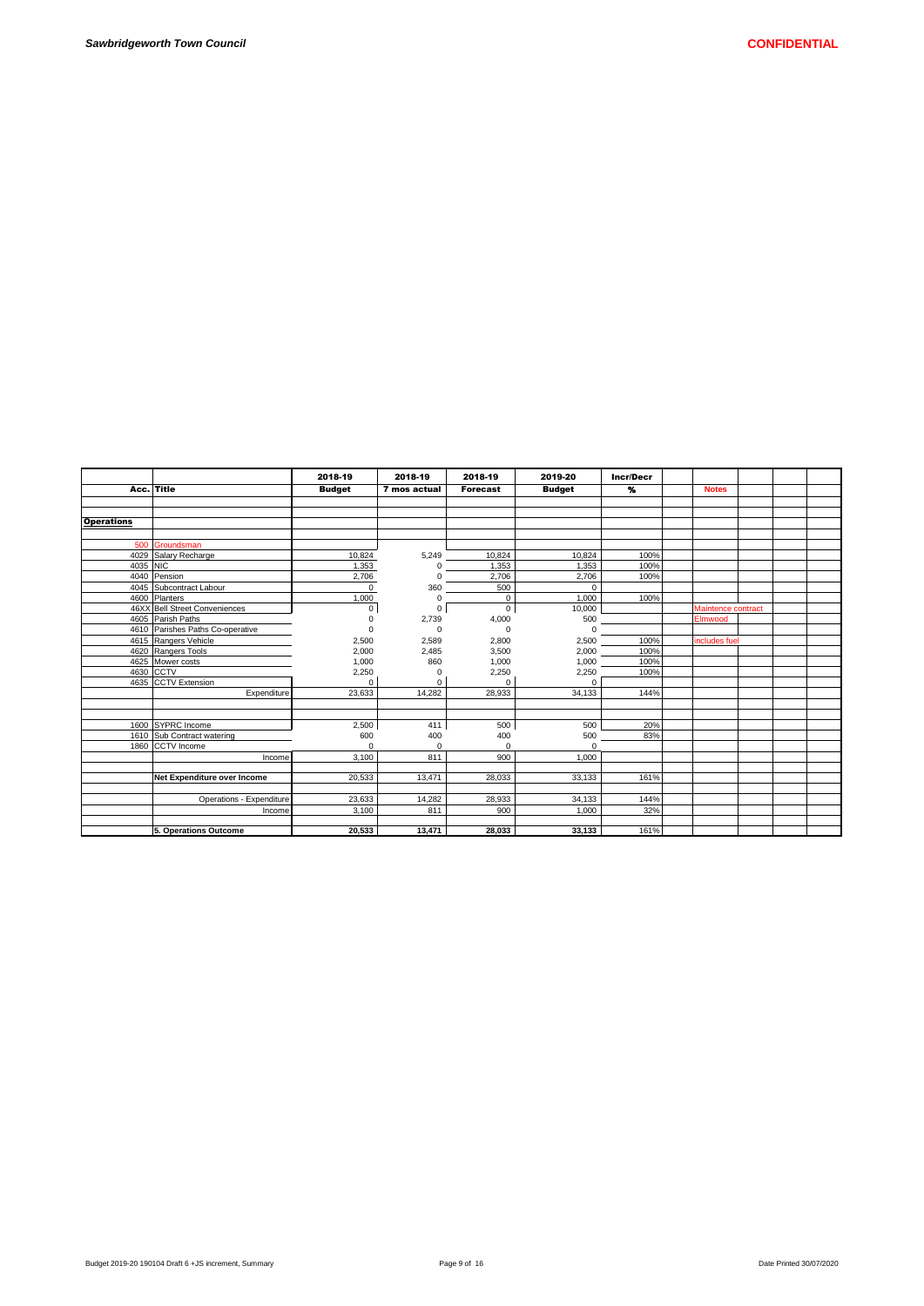|                   |                                  | 2018-19       | 2018-19      | 2018-19         | 2019-20       | Incr/Decr         |                    |  |  |
|-------------------|----------------------------------|---------------|--------------|-----------------|---------------|-------------------|--------------------|--|--|
|                   | Acc. Title                       | <b>Budget</b> | 7 mos actual | <b>Forecast</b> | <b>Budget</b> | $\boldsymbol{\%}$ | <b>Notes</b>       |  |  |
|                   |                                  |               |              |                 |               |                   |                    |  |  |
|                   |                                  |               |              |                 |               |                   |                    |  |  |
| <b>Operations</b> |                                  |               |              |                 |               |                   |                    |  |  |
|                   |                                  |               |              |                 |               |                   |                    |  |  |
|                   | 500 Groundsman                   |               |              |                 |               |                   |                    |  |  |
|                   | 4029 Salary Recharge             | 10,824        | 5,249        | 10,824          | 10.824        | 100%              |                    |  |  |
| 4035 NIC          |                                  | 1,353         | 0            | 1,353           | 1,353         | 100%              |                    |  |  |
|                   | 4040 Pension                     | 2,706         | 0            | 2,706           | 2.706         | 100%              |                    |  |  |
|                   | 4045 Subcontract Labour          | $\Omega$      | 360          | 500             | $\Omega$      |                   |                    |  |  |
|                   | 4600 Planters                    | 1.000         | 0            | 0               | 1.000         | 100%              |                    |  |  |
|                   | 46XX Bell Street Conveniences    | 0             | 0            | 0               | 10,000        |                   | Maintence contract |  |  |
|                   | 4605 Parish Paths                | U             | 2,739        | 4,000           | 500           |                   | Elmwood            |  |  |
|                   | 4610 Parishes Paths Co-operative | 0             | $\Omega$     | 0               | $\Omega$      |                   |                    |  |  |
|                   | 4615 Rangers Vehicle             | 2,500         | 2,589        | 2,800           | 2,500         | 100%              | includes fuel      |  |  |
|                   | 4620 Rangers Tools               | 2,000         | 2,485        | 3,500           | 2,000         | 100%              |                    |  |  |
|                   | 4625 Mower costs                 | 1,000         | 860          | 1,000           | 1,000         | 100%              |                    |  |  |
|                   | 4630 CCTV                        | 2,250         | $\Omega$     | 2,250           | 2,250         | 100%              |                    |  |  |
|                   | 4635 CCTV Extension              | $\Omega$      | $\Omega$     | $\Omega$        | $\Omega$      |                   |                    |  |  |
|                   | Expenditure                      | 23.633        | 14,282       | 28,933          | 34.133        | 144%              |                    |  |  |
|                   |                                  |               |              |                 |               |                   |                    |  |  |
|                   |                                  |               |              |                 |               |                   |                    |  |  |
|                   | 1600 SYPRC Income                | 2,500         | 411          | 500             | 500           | 20%               |                    |  |  |
|                   | 1610 Sub Contract watering       | 600           | 400          | 400             | 500           | 83%               |                    |  |  |
|                   | 1860 CCTV Income                 | $\Omega$      | $\Omega$     | O               | $\Omega$      |                   |                    |  |  |
|                   | Income                           | 3.100         | 811          | 900             | 1.000         |                   |                    |  |  |
|                   |                                  |               |              |                 |               |                   |                    |  |  |
|                   | Net Expenditure over Income      | 20,533        | 13,471       | 28,033          | 33,133        | 161%              |                    |  |  |
|                   |                                  |               |              |                 |               |                   |                    |  |  |
|                   | Operations - Expenditure         | 23,633        | 14,282       | 28,933          | 34,133        | 144%              |                    |  |  |
|                   | Income                           | 3.100         | 811          | 900             | 1.000         | 32%               |                    |  |  |
|                   |                                  |               |              |                 |               |                   |                    |  |  |
|                   | 5. Operations Outcome            | 20,533        | 13,471       | 28,033          | 33,133        | 161%              |                    |  |  |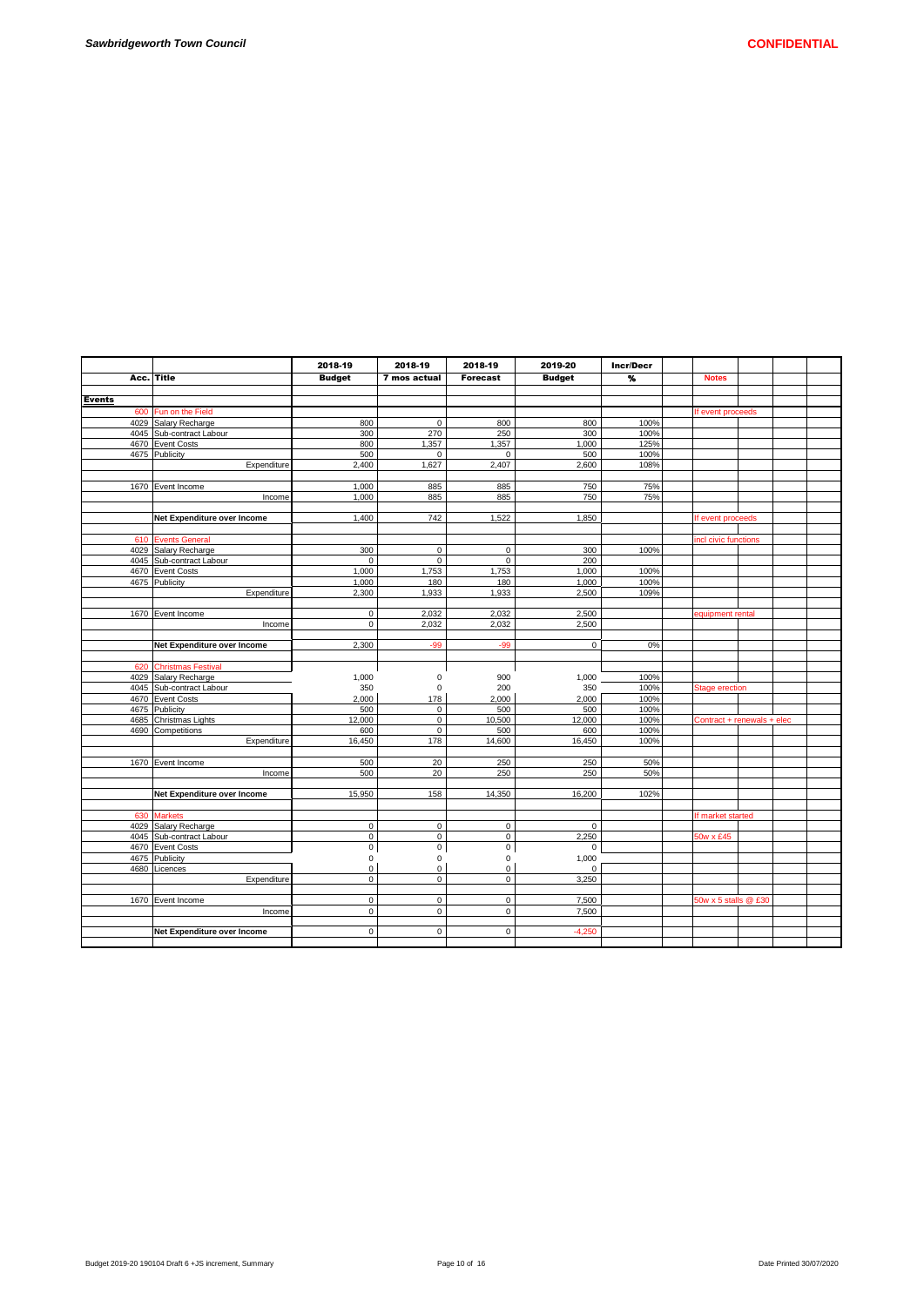|               |                             | 2018-19       | 2018-19      | 2018-19             | 2019-20       | Incr/Decr               |                       |                            |  |
|---------------|-----------------------------|---------------|--------------|---------------------|---------------|-------------------------|-----------------------|----------------------------|--|
| Acc.          | Title                       | <b>Budget</b> | 7 mos actual | <b>Forecast</b>     | <b>Budget</b> | $\overline{\mathbf{v}}$ | <b>Notes</b>          |                            |  |
|               |                             |               |              |                     |               |                         |                       |                            |  |
| <b>Events</b> |                             |               |              |                     |               |                         |                       |                            |  |
| 600           | Fun on the Field            |               |              |                     |               |                         | If event proceeds     |                            |  |
|               | 4029 Salary Recharge        | 800           | $\mathsf 0$  | 800                 | 800           | 100%                    |                       |                            |  |
|               | 4045 Sub-contract Labour    | 300           | 270          | 250                 | 300           | 100%                    |                       |                            |  |
|               | 4670 Event Costs            | 800           | 1,357        | 1,357               | 1,000         | 125%                    |                       |                            |  |
|               | 4675 Publicity              | 500           | $\mathbf 0$  | $\Omega$            | 500           | 100%                    |                       |                            |  |
|               | Expenditure                 | 2,400         | 1,627        | 2,407               | 2,600         | 108%                    |                       |                            |  |
|               |                             |               |              |                     |               |                         |                       |                            |  |
|               | 1670 Event Income           | 1.000         | 885          | 885                 | 750           | 75%                     |                       |                            |  |
|               | Income                      | 1,000         | 885          | 885                 | 750           | 75%                     |                       |                            |  |
|               |                             |               |              |                     |               |                         |                       |                            |  |
|               | Net Expenditure over Income | 1,400         | 742          | 1,522               | 1,850         |                         | If event proceeds     |                            |  |
|               |                             |               |              |                     |               |                         |                       |                            |  |
| 610           | <b>Events General</b>       |               |              |                     |               |                         | incl civic functions  |                            |  |
|               | 4029 Salary Recharge        | 300           | $\mathbf 0$  | $\mathbf 0$         | 300           | 100%                    |                       |                            |  |
|               | 4045 Sub-contract Labour    | $\mathbf 0$   | $\mathbf 0$  | $\mathbf 0$         | 200           |                         |                       |                            |  |
|               | 4670 Event Costs            | 1,000         | 1,753        | 1,753               | 1,000         | 100%                    |                       |                            |  |
|               | 4675 Publicity              | 1.000         | 180          | 180                 | 1.000         | 100%                    |                       |                            |  |
|               | Expenditure                 | 2,300         | 1,933        | 1.933               | 2.500         | 109%                    |                       |                            |  |
|               |                             |               |              |                     |               |                         |                       |                            |  |
|               | 1670 Event Income           | $\mathbf 0$   | 2,032        | 2,032               | 2,500         |                         | equipment rental      |                            |  |
|               | Income                      | $\mathbf 0$   | 2,032        | 2,032               | 2,500         |                         |                       |                            |  |
|               |                             |               |              |                     |               |                         |                       |                            |  |
|               | Net Expenditure over Income | 2,300         | $-99$        | $-99$               | $\pmb{0}$     | 0%                      |                       |                            |  |
|               |                             |               |              |                     |               |                         |                       |                            |  |
|               | 620 Christmas Festival      |               |              |                     |               |                         |                       |                            |  |
|               | 4029 Salary Recharge        | 1,000         | $\mathbf 0$  | 900                 | 1,000         | 100%                    |                       |                            |  |
|               | 4045 Sub-contract Labour    | 350           | 0            | 200                 | 350           | 100%                    | <b>Stage erection</b> |                            |  |
|               | 4670 Event Costs            | 2.000         | 178          | 2,000               | 2,000         | 100%                    |                       |                            |  |
|               | 4675 Publicity              | 500           | $\mathbf 0$  | 500                 | 500           | 100%                    |                       |                            |  |
|               | 4685 Christmas Lights       | 12,000        | $\mathbf 0$  | 10,500              | 12,000        | 100%                    |                       | Contract + renewals + elec |  |
|               | 4690 Competitions           | 600           | $\mathbf 0$  | 500                 | 600           | 100%                    |                       |                            |  |
|               | Expenditure                 | 16,450        | 178          | 14,600              | 16,450        | 100%                    |                       |                            |  |
|               |                             |               |              |                     |               |                         |                       |                            |  |
|               | 1670 Event Income           | 500           | 20           | 250                 | 250           | 50%                     |                       |                            |  |
|               | Income                      | 500           | 20           | 250                 | 250           | 50%                     |                       |                            |  |
|               |                             |               |              |                     |               |                         |                       |                            |  |
|               | Net Expenditure over Income | 15,950        | 158          | 14,350              | 16,200        | 102%                    |                       |                            |  |
|               |                             |               |              |                     |               |                         |                       |                            |  |
| 630           | <b>Markets</b>              |               |              |                     |               |                         | If market started     |                            |  |
|               | 4029 Salary Recharge        | $\mathsf 0$   | $\mathbf 0$  | $\mathsf{O}\xspace$ | $\mathbf 0$   |                         |                       |                            |  |
|               | 4045 Sub-contract Labour    | $\mathsf 0$   | $\mathbf 0$  | $\mathsf 0$         | 2,250         |                         | 50w x £45             |                            |  |
|               | 4670 Event Costs            | $\mathsf 0$   | $\mathsf 0$  | $\mathsf 0$         | $\Omega$      |                         |                       |                            |  |
|               | 4675 Publicity              | 0             | 0            | 0                   | 1,000         |                         |                       |                            |  |
|               | 4680 Licences               | $\mathbf 0$   | $\mathbf 0$  | $\mathbf 0$         | $\mathbf 0$   |                         |                       |                            |  |
|               | Expenditure                 | $\mathsf 0$   | $\mathbf 0$  | $\mathbf 0$         | 3,250         |                         |                       |                            |  |
|               |                             |               |              |                     |               |                         |                       |                            |  |
|               | 1670 Event Income           | $\mathsf 0$   | $\mathbf 0$  | $\mathbf 0$         | 7,500         |                         | 50w x 5 stalls @ £30  |                            |  |
|               | Income                      | $\mathsf 0$   | $\mathbf 0$  | $\mathbf 0$         | 7,500         |                         |                       |                            |  |
|               |                             | $\mathbf 0$   | $\Omega$     | $\mathbf 0$         |               |                         |                       |                            |  |
|               | Net Expenditure over Income |               |              |                     | $-4.250$      |                         |                       |                            |  |
|               |                             |               |              |                     |               |                         |                       |                            |  |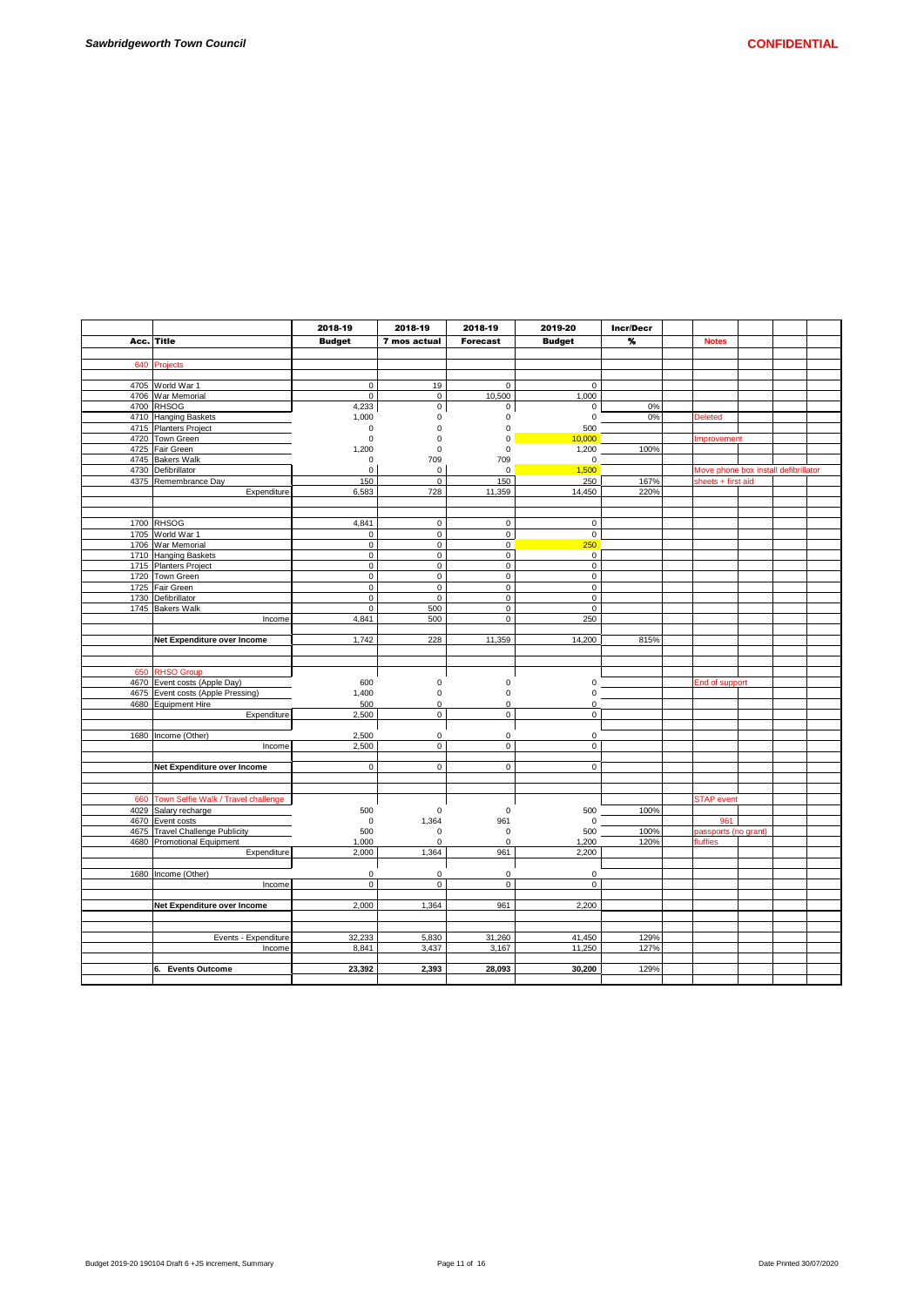|      |                                          | 2018-19             | 2018-19          | 2018-19          | 2019-20       | Incr/Decr |                                      |  |  |
|------|------------------------------------------|---------------------|------------------|------------------|---------------|-----------|--------------------------------------|--|--|
| Acc. | Title                                    | <b>Budget</b>       | 7 mos actual     | <b>Forecast</b>  | <b>Budget</b> | %         | <b>Notes</b>                         |  |  |
|      |                                          |                     |                  |                  |               |           |                                      |  |  |
| 640  | Projects                                 |                     |                  |                  |               |           |                                      |  |  |
|      |                                          |                     |                  |                  |               |           |                                      |  |  |
|      | 4705 World War 1                         | 0                   | 19               | 0                | 0             |           |                                      |  |  |
|      | 4706 War Memorial                        | $\mathsf{O}\xspace$ | $\mathsf 0$      | 10,500           | 1,000         |           |                                      |  |  |
|      | 4700 RHSOG                               | 4,233               | $\mathsf 0$      | 0                | 0             | 0%        |                                      |  |  |
|      | 4710 Hanging Baskets                     | 1,000               | 0<br>$\mathbf 0$ | 0<br>0           | 0             | 0%        | <b>Deleted</b>                       |  |  |
|      | 4715 Planters Project<br>4720 Town Green | 0<br>0              | $\mathbf 0$      | 0                | 500<br>10,000 |           | Improvement                          |  |  |
|      | 4725 Fair Green                          | 1,200               | $\Omega$         | $\mathbf 0$      | 1,200         | 100%      |                                      |  |  |
|      | 4745 Bakers Walk                         | $\mathsf 0$         | 709              | 709              | 0             |           |                                      |  |  |
|      | 4730 Defibrillator                       | 0                   | $\mathbf 0$      | 0                | 1,500         |           | Move phone box install defibrillator |  |  |
|      | 4375 Remembrance Day                     | 150                 | $\mathbf 0$      | 150              | 250           | 167%      | sheets + first aid                   |  |  |
|      | Expenditure                              | 6,583               | 728              | 11,359           | 14,450        | 220%      |                                      |  |  |
|      |                                          |                     |                  |                  |               |           |                                      |  |  |
|      |                                          |                     |                  |                  |               |           |                                      |  |  |
|      | 1700 RHSOG                               | 4,841               | $\mathsf 0$      | $\mathsf 0$      | $\mathbf 0$   |           |                                      |  |  |
|      | 1705 World War 1                         | $\mathsf 0$         | $\mathsf 0$      | $\mathbf 0$      | $\mathsf 0$   |           |                                      |  |  |
|      | 1706 War Memorial                        | $\mathbf 0$         | $\mathbf 0$      | $\mathbf 0$      | 250           |           |                                      |  |  |
|      | 1710 Hanging Baskets                     | $\mathsf{O}\xspace$ | $\mathsf 0$      | $\overline{0}$   | $\mathsf 0$   |           |                                      |  |  |
|      | 1715 Planters Project                    | $\mathsf 0$         | $\mathsf 0$      | $\mathsf 0$      | $\mathsf 0$   |           |                                      |  |  |
|      | 1720 Town Green                          | $\mathsf{O}\xspace$ | $\mathsf 0$      | $\mathsf 0$      | $\mathsf 0$   |           |                                      |  |  |
|      | 1725 Fair Green                          | $\mathsf 0$         | $\mathbf 0$      | 0                | $\mathbf 0$   |           |                                      |  |  |
|      | 1730 Defibrillator                       | $\mathbf 0$         | $\mathbf 0$      | 0                | 0             |           |                                      |  |  |
|      | 1745 Bakers Walk                         | 0<br>4,841          | 500              | 0<br>$\mathsf 0$ | 0<br>250      |           |                                      |  |  |
|      | Income                                   |                     | 500              |                  |               |           |                                      |  |  |
|      | Net Expenditure over Income              | 1,742               | 228              | 11,359           | 14,200        | 815%      |                                      |  |  |
|      |                                          |                     |                  |                  |               |           |                                      |  |  |
|      |                                          |                     |                  |                  |               |           |                                      |  |  |
| 650  | <b>RHSO Group</b>                        |                     |                  |                  |               |           |                                      |  |  |
|      | 4670 Event costs (Apple Day)             | 600                 | $\pmb{0}$        | 0                | 0             |           | End of support                       |  |  |
|      | 4675 Event costs (Apple Pressing)        | 1,400               | $\pmb{0}$        | 0                | 0             |           |                                      |  |  |
|      | 4680 Equipment Hire                      | 500                 | $\Omega$         | $\Omega$         | $\Omega$      |           |                                      |  |  |
|      | Expenditure                              | 2,500               | $\mathbf 0$      | $\mathbf 0$      | 0             |           |                                      |  |  |
|      |                                          |                     |                  |                  |               |           |                                      |  |  |
|      | 1680   Income (Other)                    | 2,500               | $\mathbf 0$      | 0                | $\mathsf 0$   |           |                                      |  |  |
|      | Income                                   | 2.500               | $\mathbf 0$      | 0                | $\mathbf 0$   |           |                                      |  |  |
|      | Net Expenditure over Income              | $\mathsf 0$         | $\mathsf 0$      | 0                | $\mathsf 0$   |           |                                      |  |  |
|      |                                          |                     |                  |                  |               |           |                                      |  |  |
|      |                                          |                     |                  |                  |               |           |                                      |  |  |
| 660  | Town Selfie Walk / Travel challenge      |                     |                  |                  |               |           | <b>STAP</b> event                    |  |  |
|      | 4029 Salary recharge                     | 500                 | $\mathbf 0$      | 0                | 500           | 100%      |                                      |  |  |
|      | 4670 Event costs                         | $\mathbf 0$         | 1,364            | 961              | 0             |           | 961                                  |  |  |
|      | 4675 Travel Challenge Publicity          | 500                 | $\mathbf 0$      | $\mathbf 0$      | 500           | 100%      | passports (no grant)                 |  |  |
|      | 4680 Promotional Equipment               | 1,000               | $\Omega$         | $\mathbf 0$      | 1.200         | 120%      | fluffies                             |  |  |
|      | Expenditure                              | 2,000               | 1,364            | 961              | 2,200         |           |                                      |  |  |
|      |                                          |                     |                  |                  |               |           |                                      |  |  |
|      | 1680   Income (Other)                    | $\mathbf 0$         | $\mathbf 0$      | 0                | 0             |           |                                      |  |  |
|      | Income                                   | $\mathbf 0$         | $\mathbf 0$      | $\mathbf 0$      | $\mathbf 0$   |           |                                      |  |  |
|      |                                          |                     |                  |                  |               |           |                                      |  |  |
|      | Net Expenditure over Income              | 2,000               | 1,364            | 961              | 2,200         |           |                                      |  |  |
|      |                                          |                     |                  |                  |               |           |                                      |  |  |
|      |                                          | 32,233              | 5,830            |                  | 41,450        | 129%      |                                      |  |  |
|      | Events - Expenditure<br>Income           | 8,841               | 3,437            | 31,260<br>3,167  | 11,250        | 127%      |                                      |  |  |
|      |                                          |                     |                  |                  |               |           |                                      |  |  |
|      | 6. Events Outcome                        | 23,392              | 2,393            | 28,093           | 30,200        | 129%      |                                      |  |  |
|      |                                          |                     |                  |                  |               |           |                                      |  |  |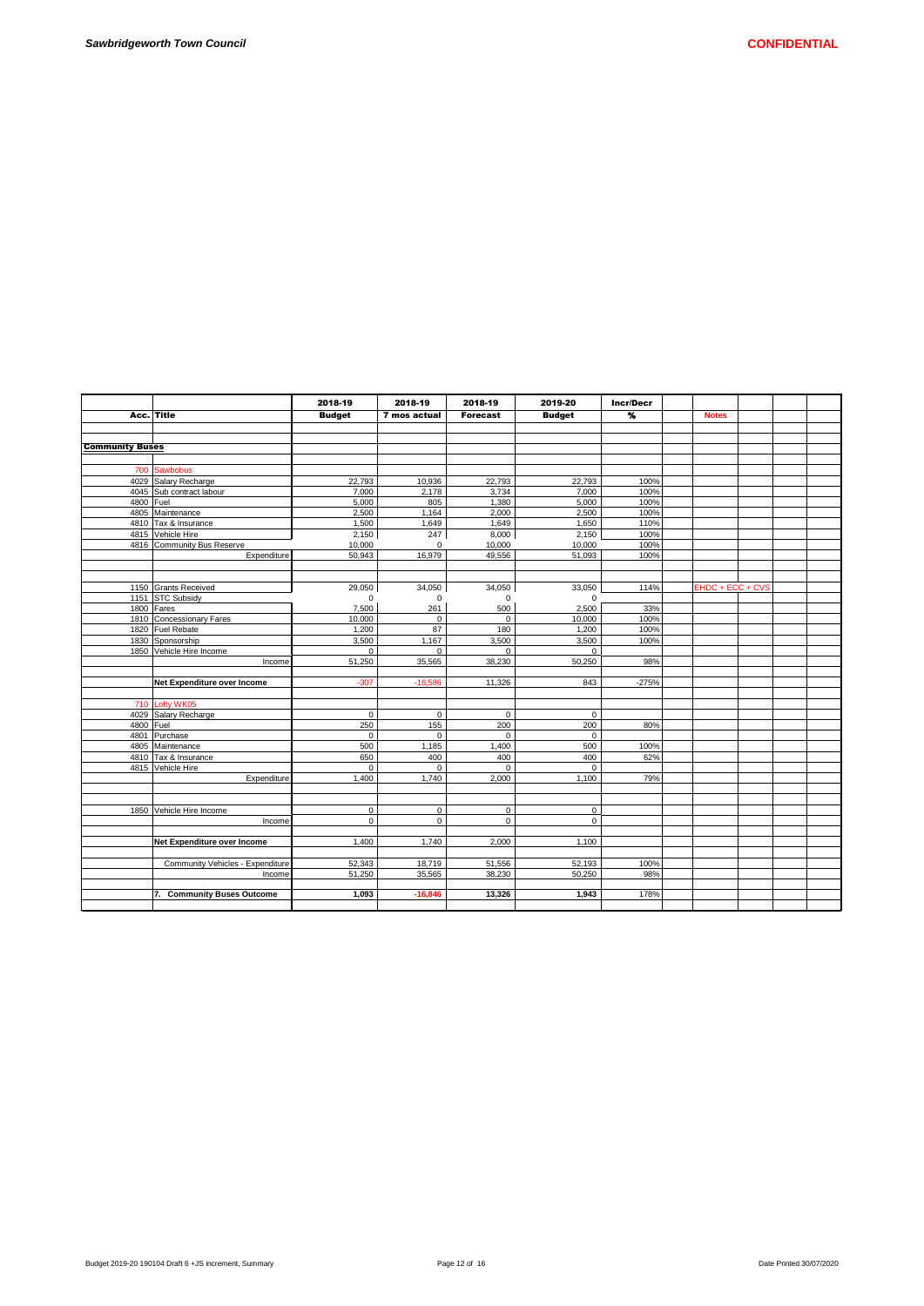| Date Printed 30/07/2020 |  |
|-------------------------|--|

|                        |                                  | 2018-19       | 2018-19      | 2018-19         | 2019-20       | <b>Incr/Decr</b> |                  |  |  |
|------------------------|----------------------------------|---------------|--------------|-----------------|---------------|------------------|------------------|--|--|
|                        | Acc. Title                       | <b>Budget</b> | 7 mos actual | <b>Forecast</b> | <b>Budget</b> | $\frac{9}{2}$    | <b>Notes</b>     |  |  |
|                        |                                  |               |              |                 |               |                  |                  |  |  |
|                        |                                  |               |              |                 |               |                  |                  |  |  |
| <b>Community Buses</b> |                                  |               |              |                 |               |                  |                  |  |  |
|                        |                                  |               |              |                 |               |                  |                  |  |  |
| 700                    | Sawbobus                         |               |              |                 |               |                  |                  |  |  |
|                        | 4029 Salary Recharge             | 22,793        | 10,936       | 22,793          | 22,793        | 100%             |                  |  |  |
|                        | 4045 Sub contract labour         | 7.000         | 2,178        | 3.734           | 7,000         | 100%             |                  |  |  |
| 4800 Fuel              |                                  | 5,000         | 805          | 1,380           | 5,000         | 100%             |                  |  |  |
|                        | 4805 Maintenance                 | 2,500         | 1,164        | 2,000           | 2,500         | 100%             |                  |  |  |
|                        | 4810 Tax & Insurance             | 1,500         | 1,649        | 1,649           | 1,650         | 110%             |                  |  |  |
|                        | 4815 Vehicle Hire                | 2,150         | 247          | 8,000           | 2,150         | 100%             |                  |  |  |
|                        | 4816 Community Bus Reserve       | 10,000        | 0            | 10.000          | 10,000        | 100%             |                  |  |  |
|                        | Expenditure                      | 50,943        | 16,979       | 49,556          | 51,093        | 100%             |                  |  |  |
|                        |                                  |               |              |                 |               |                  |                  |  |  |
|                        |                                  |               |              |                 |               |                  |                  |  |  |
|                        | 1150 Grants Received             | 29,050        | 34,050       | 34,050          | 33.050        | 114%             | EHDC + ECC + CVS |  |  |
|                        | 1151 STC Subsidy                 | $\Omega$      | 0            | $\Omega$        | 0             |                  |                  |  |  |
|                        | 1800 Fares                       | 7,500         | 261          | 500             | 2,500         | 33%              |                  |  |  |
|                        | 1810 Concessionary Fares         | 10,000        | 0            | $\Omega$        | 10,000        | 100%             |                  |  |  |
|                        | 1820 Fuel Rebate                 | 1,200         | 87           | 180             | 1,200         | 100%             |                  |  |  |
|                        | 1830 Sponsorship                 | 3,500         | 1,167        | 3.500           | 3,500         | 100%             |                  |  |  |
|                        | 1850 Vehicle Hire Income         | $\mathbf 0$   | 0            | $\Omega$        | $\mathbf 0$   |                  |                  |  |  |
|                        | Income                           | 51,250        | 35,565       | 38.230          | 50,250        | 98%              |                  |  |  |
|                        | Net Expenditure over Income      | $-307$        | $-18,586$    | 11,326          | 843           | $-275%$          |                  |  |  |
|                        |                                  |               |              |                 |               |                  |                  |  |  |
|                        | 710 Lofty WK05                   |               |              |                 |               |                  |                  |  |  |
|                        | 4029 Salary Recharge             | $\mathbf 0$   | $\mathbf 0$  | $\mathbf 0$     | $\mathbf 0$   |                  |                  |  |  |
| 4800 Fuel              |                                  | 250           | 155          | 200             | 200           | 80%              |                  |  |  |
|                        | 4801 Purchase                    | $\mathbf 0$   | 0            | $\Omega$        | $\mathbf 0$   |                  |                  |  |  |
|                        | 4805 Maintenance                 | 500           | 1,185        | 1,400           | 500           | 100%             |                  |  |  |
|                        | 4810 Tax & Insurance             | 650           | 400          | 400             | 400           | 62%              |                  |  |  |
|                        | 4815 Vehicle Hire                | $\mathbf 0$   | 0            | $\Omega$        | $\mathbf 0$   |                  |                  |  |  |
|                        | Expenditure                      | 1,400         | 1,740        | 2.000           | 1,100         | 79%              |                  |  |  |
|                        |                                  |               |              |                 |               |                  |                  |  |  |
|                        |                                  |               |              |                 |               |                  |                  |  |  |
|                        | 1850 Vehicle Hire Income         | $\mathsf 0$   | 0            | 0               | $\mathbf 0$   |                  |                  |  |  |
|                        | Income                           | $\mathbf 0$   | $\Omega$     | $\Omega$        | $\mathbf 0$   |                  |                  |  |  |
|                        |                                  |               |              |                 |               |                  |                  |  |  |
|                        | Net Expenditure over Income      | 1.400         | 1.740        | 2.000           | 1.100         |                  |                  |  |  |
|                        |                                  |               |              |                 |               |                  |                  |  |  |
|                        | Community Vehicles - Expenditure | 52,343        | 18,719       | 51,556          | 52,193        | 100%             |                  |  |  |
|                        | Income                           | 51,250        | 35,565       | 38,230          | 50,250        | 98%              |                  |  |  |
|                        |                                  |               |              |                 |               |                  |                  |  |  |
|                        | 7. Community Buses Outcome       | 1,093         | $-16,846$    | 13,326          | 1,943         | 178%             |                  |  |  |
|                        |                                  |               |              |                 |               |                  |                  |  |  |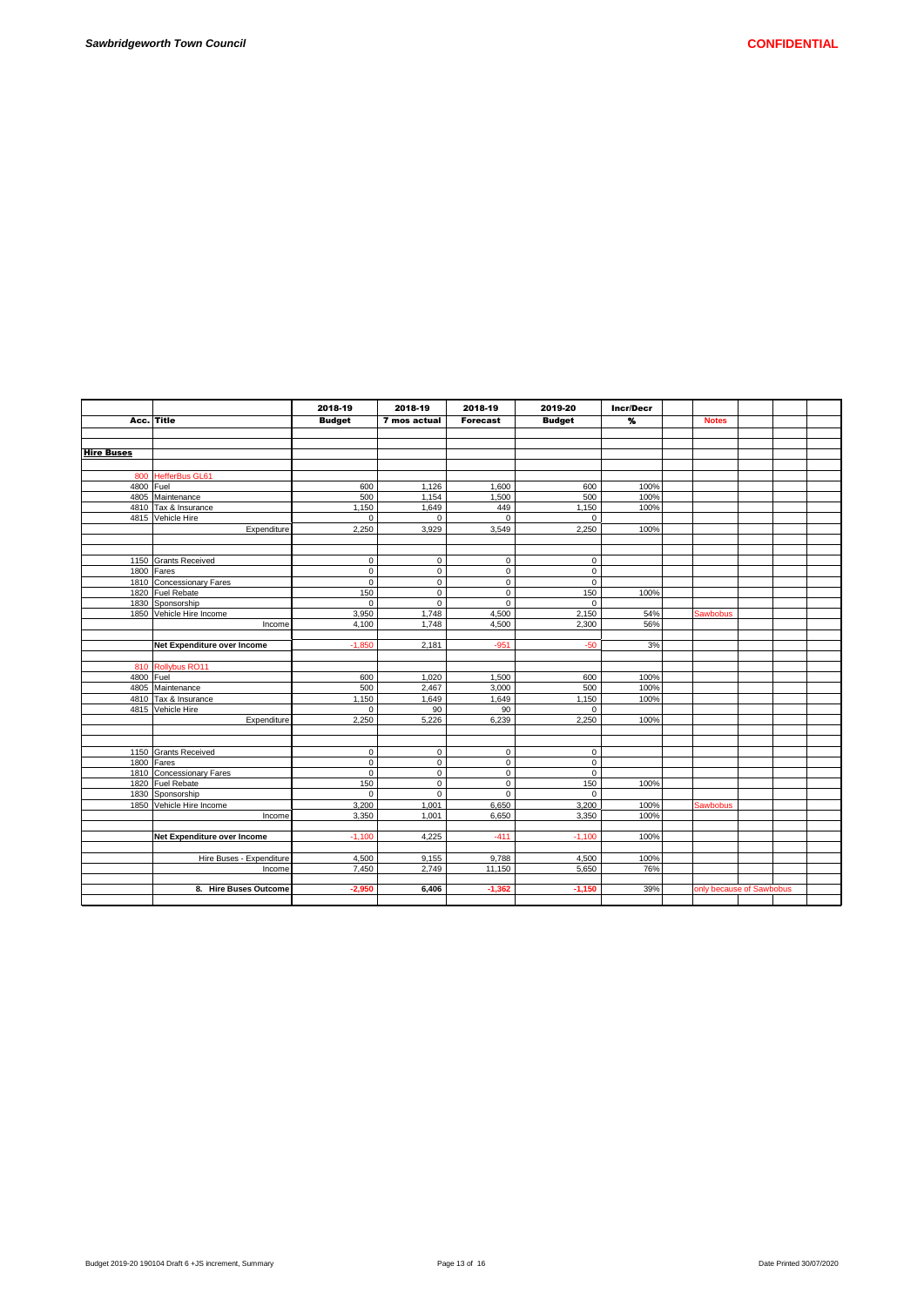|                   |                             | 2018-19           | 2018-19      | 2018-19     | 2019-20              | Incr/Decr    |                 |                          |  |
|-------------------|-----------------------------|-------------------|--------------|-------------|----------------------|--------------|-----------------|--------------------------|--|
| Acc.              | Title                       | <b>Budget</b>     | 7 mos actual | Forecast    | <b>Budget</b>        | $\mathbf{v}$ | <b>Notes</b>    |                          |  |
|                   |                             |                   |              |             |                      |              |                 |                          |  |
|                   |                             |                   |              |             |                      |              |                 |                          |  |
| <b>Hire Buses</b> |                             |                   |              |             |                      |              |                 |                          |  |
|                   |                             |                   |              |             |                      |              |                 |                          |  |
|                   | 800 HefferBus GL61          |                   |              |             |                      |              |                 |                          |  |
| 4800 Fuel         |                             | 600               | 1,126        | 1,600       | 600                  | 100%         |                 |                          |  |
|                   | 4805 Maintenance            | 500               | 1.154        | 1,500       | 500                  | 100%         |                 |                          |  |
|                   | 4810 Tax & Insurance        | 1,150             | 1,649        | 449         | 1,150                | 100%         |                 |                          |  |
|                   | 4815 Vehicle Hire           | $\mathbf 0$       | $\mathbf 0$  | $\mathbf 0$ | $\mathbf 0$          |              |                 |                          |  |
|                   | Expenditure                 | 2,250             | 3,929        | 3,549       | 2,250                | 100%         |                 |                          |  |
|                   |                             |                   |              |             |                      |              |                 |                          |  |
|                   |                             |                   |              |             |                      |              |                 |                          |  |
|                   | 1150 Grants Received        | $\mathbf 0$       | $\mathbf 0$  | $\mathbf 0$ | $\mathbf 0$          |              |                 |                          |  |
|                   | 1800 Fares                  | $\mathbf 0$       | $\mathbf 0$  | $\mathbf 0$ | $\mathbf 0$          |              |                 |                          |  |
|                   | 1810 Concessionary Fares    | $\mathbf 0$       | $\mathbf 0$  | $\mathbf 0$ | $\mathbf 0$          |              |                 |                          |  |
|                   | 1820 Fuel Rebate            | 150               | $\mathsf 0$  | $\mathsf 0$ | 150                  | 100%         |                 |                          |  |
|                   | 1830 Sponsorship            | $\Omega$          | $\Omega$     | $\Omega$    | $\Omega$             |              |                 |                          |  |
|                   | 1850 Vehicle Hire Income    | 3.950             | 1.748        | 4.500       | 2.150                | 54%          | Sawbobus        |                          |  |
|                   | Income                      | 4.100             | 1,748        | 4,500       | 2,300                | 56%          |                 |                          |  |
|                   |                             |                   |              |             |                      |              |                 |                          |  |
|                   | Net Expenditure over Income | $-1,850$          | 2,181        | $-951$      | $-50$                | 3%           |                 |                          |  |
|                   |                             |                   |              |             |                      |              |                 |                          |  |
|                   | 810 Rollybus RO11           |                   |              |             |                      |              |                 |                          |  |
| 4800 Fuel         |                             | 600               | 1.020        | 1.500       | 600                  | 100%         |                 |                          |  |
|                   | 4805 Maintenance            | 500               | 2,467        | 3,000       | 500                  | 100%         |                 |                          |  |
|                   | 4810 Tax & Insurance        | 1,150<br>$\Omega$ | 1,649        | 1,649       | 1,150                | 100%         |                 |                          |  |
|                   | 4815 Vehicle Hire           | 2,250             | 90<br>5,226  | 90<br>6,239 | $\mathbf 0$<br>2,250 |              |                 |                          |  |
|                   | Expenditure                 |                   |              |             |                      | 100%         |                 |                          |  |
|                   |                             |                   |              |             |                      |              |                 |                          |  |
|                   | 1150 Grants Received        | $\mathsf 0$       | $\mathbf 0$  | $\mathbf 0$ | $\pmb{0}$            |              |                 |                          |  |
|                   | 1800 Fares                  | $\mathbf 0$       | $\mathbf 0$  | $\mathbf 0$ | $\mathbf 0$          |              |                 |                          |  |
|                   | 1810 Concessionary Fares    | $\mathbf 0$       | $\mathbf 0$  | $\mathbf 0$ | $\mathbf 0$          |              |                 |                          |  |
|                   | 1820 Fuel Rebate            | 150               | $\mathbf 0$  | $\mathbf 0$ | 150                  | 100%         |                 |                          |  |
|                   | 1830 Sponsorship            | $\Omega$          | $\Omega$     | $\Omega$    | $\mathbf 0$          |              |                 |                          |  |
|                   | 1850 Vehicle Hire Income    | 3,200             | 1,001        | 6,650       | 3,200                | 100%         | <b>Sawbobus</b> |                          |  |
|                   | Income                      | 3,350             | 1,001        | 6.650       | 3,350                | 100%         |                 |                          |  |
|                   |                             |                   |              |             |                      |              |                 |                          |  |
|                   | Net Expenditure over Income | $-1.100$          | 4,225        | $-411$      | $-1.100$             | 100%         |                 |                          |  |
|                   |                             |                   |              |             |                      |              |                 |                          |  |
|                   | Hire Buses - Expenditure    | 4,500             | 9,155        | 9,788       | 4,500                | 100%         |                 |                          |  |
|                   | Income                      | 7.450             | 2,749        | 11,150      | 5,650                | 76%          |                 |                          |  |
|                   |                             |                   |              |             |                      |              |                 |                          |  |
|                   | 8. Hire Buses Outcome       | $-2.950$          | 6,406        | $-1.362$    | $-1.150$             | 39%          |                 | only because of Sawbobus |  |
|                   |                             |                   |              |             |                      |              |                 |                          |  |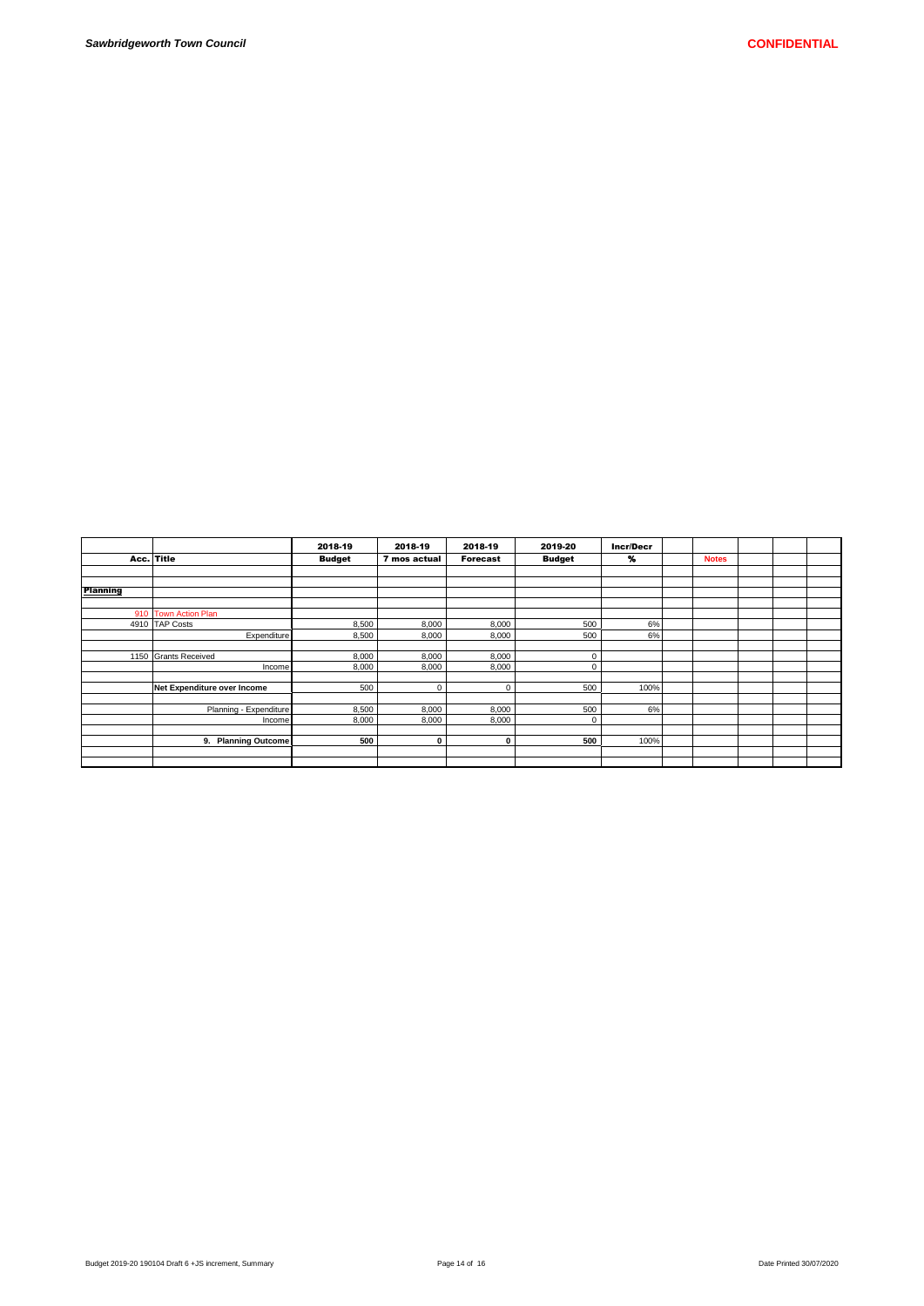|                 |                               | 2018-19       | 2018-19      | 2018-19         | 2019-20       | <b>Incr/Decr</b> |              |  |  |
|-----------------|-------------------------------|---------------|--------------|-----------------|---------------|------------------|--------------|--|--|
| Acc. Title      |                               | <b>Budget</b> | 7 mos actual | <b>Forecast</b> | <b>Budget</b> | %                | <b>Notes</b> |  |  |
|                 |                               |               |              |                 |               |                  |              |  |  |
|                 |                               |               |              |                 |               |                  |              |  |  |
| <b>Planning</b> |                               |               |              |                 |               |                  |              |  |  |
|                 |                               |               |              |                 |               |                  |              |  |  |
|                 | 910 Town Action Plan          |               |              |                 |               |                  |              |  |  |
|                 | 4910 TAP Costs                | 8,500         | 8,000        | 8,000           | 500           | 6%               |              |  |  |
|                 | Expenditure                   | 8,500         | 8,000        | 8,000           | 500           | 6%               |              |  |  |
|                 |                               |               |              |                 |               |                  |              |  |  |
|                 | 1150 Grants Received          | 8,000         | 8,000        | 8,000           | $\mathbf 0$   |                  |              |  |  |
|                 | Income                        | 8,000         | 8,000        | 8,000           | $\mathbf 0$   |                  |              |  |  |
|                 |                               |               |              |                 |               |                  |              |  |  |
|                 | Net Expenditure over Income   | 500           | $\mathbf 0$  | 0               | 500           | 100%             |              |  |  |
|                 |                               |               |              |                 |               |                  |              |  |  |
|                 | Planning - Expenditure        | 8,500         | 8,000        | 8,000           | 500           | 6%               |              |  |  |
|                 | Income                        | 8,000         | 8,000        | 8,000           | $\mathbf 0$   |                  |              |  |  |
|                 |                               |               |              |                 |               |                  |              |  |  |
|                 | <b>Planning Outcome</b><br>9. | 500           | $\mathbf 0$  | $\mathbf 0$     | 500           | 100%             |              |  |  |
|                 |                               |               |              |                 |               |                  |              |  |  |
|                 |                               |               |              |                 |               |                  |              |  |  |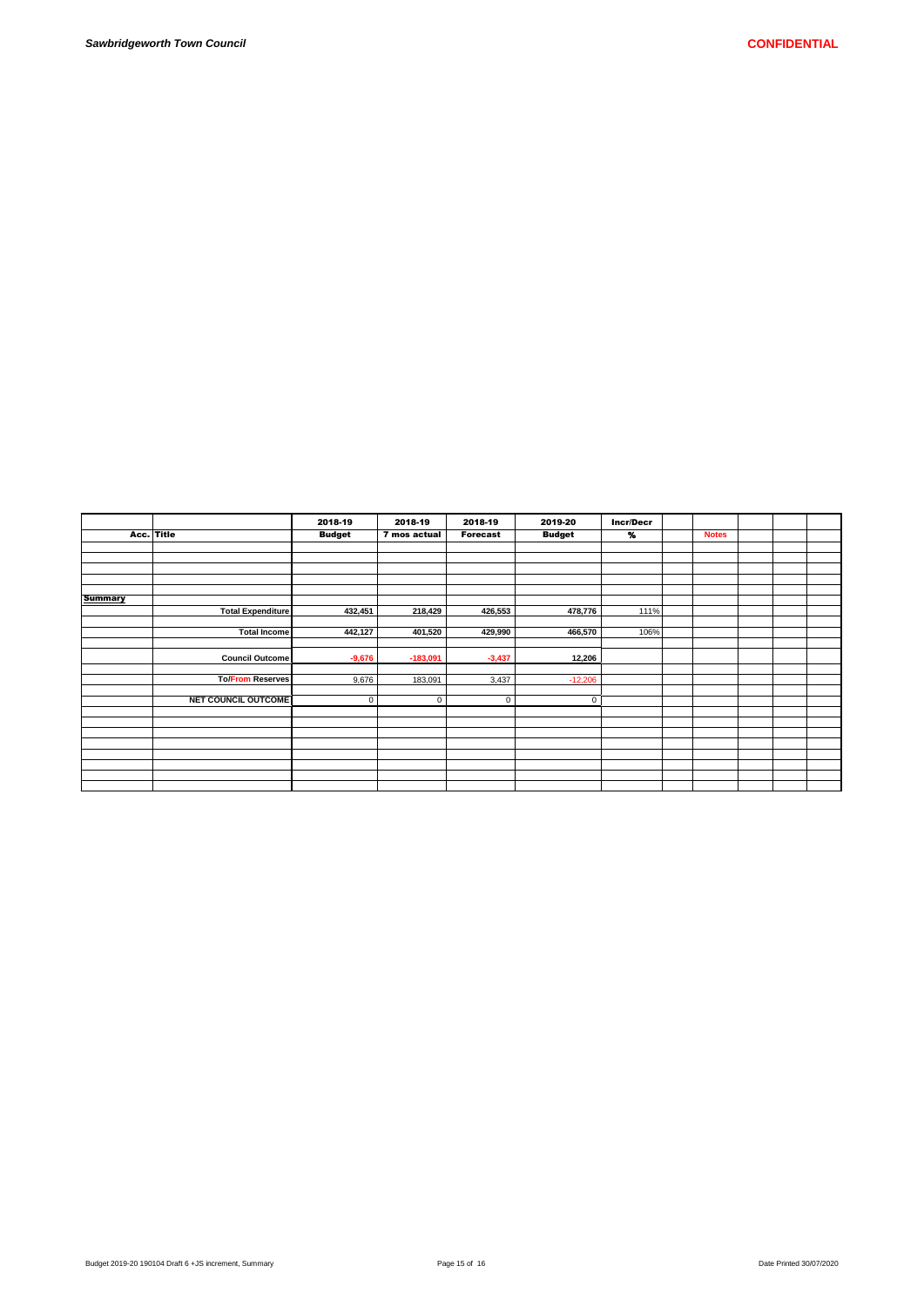|                |                            | 2018-19       | 2018-19      | 2018-19         | 2019-20       | <b>Incr/Decr</b> |              |  |  |
|----------------|----------------------------|---------------|--------------|-----------------|---------------|------------------|--------------|--|--|
|                | Acc. Title                 | <b>Budget</b> | 7 mos actual | <b>Forecast</b> | <b>Budget</b> | $\gamma_{\rm o}$ | <b>Notes</b> |  |  |
|                |                            |               |              |                 |               |                  |              |  |  |
|                |                            |               |              |                 |               |                  |              |  |  |
|                |                            |               |              |                 |               |                  |              |  |  |
|                |                            |               |              |                 |               |                  |              |  |  |
|                |                            |               |              |                 |               |                  |              |  |  |
| <b>Summary</b> |                            |               |              |                 |               |                  |              |  |  |
|                | <b>Total Expenditure</b>   | 432,451       | 218,429      | 426,553         | 478,776       | 111%             |              |  |  |
|                |                            |               |              |                 |               |                  |              |  |  |
|                | Total Income               | 442,127       | 401,520      | 429,990         | 466,570       | 106%             |              |  |  |
|                |                            |               |              |                 |               |                  |              |  |  |
|                | Council Outcome            | $-9,676$      | $-183,091$   | $-3,437$        | 12,206        |                  |              |  |  |
|                |                            |               |              |                 |               |                  |              |  |  |
|                | <b>To/From Reserves</b>    | 9,676         | 183,091      | 3,437           | $-12,206$     |                  |              |  |  |
|                |                            |               |              |                 |               |                  |              |  |  |
|                | <b>NET COUNCIL OUTCOME</b> | $\mathsf 0$   | $\mathbf 0$  | $\mathsf 0$     | $\mathbf 0$   |                  |              |  |  |
|                |                            |               |              |                 |               |                  |              |  |  |
|                |                            |               |              |                 |               |                  |              |  |  |
|                |                            |               |              |                 |               |                  |              |  |  |
|                |                            |               |              |                 |               |                  |              |  |  |
|                |                            |               |              |                 |               |                  |              |  |  |
|                |                            |               |              |                 |               |                  |              |  |  |
|                |                            |               |              |                 |               |                  |              |  |  |
|                |                            |               |              |                 |               |                  |              |  |  |